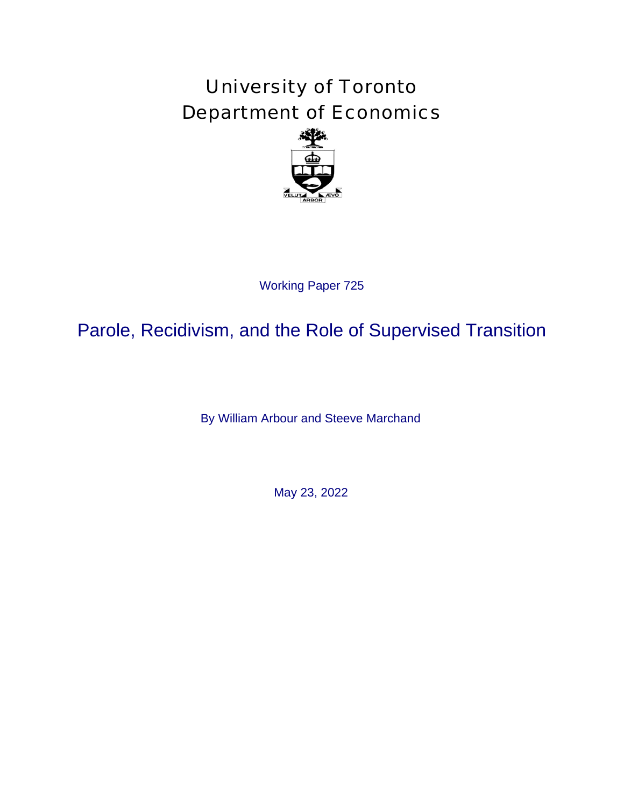# University of Toronto Department of Economics



# Working Paper 725<br>d the Role of<br>Arbour and Steeve<br>May 23, 2022 Parole, Recidivism, and the Role of Supervised Transition

By William Arbour and Steeve Marchand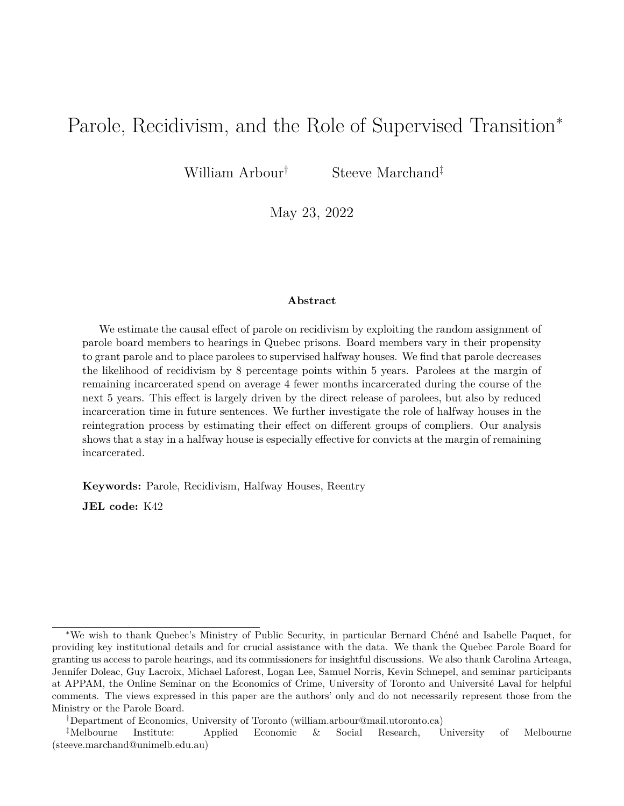# Parole, Recidivism, and the Role of Supervised Transition<sup>∗</sup>

William Arbour<sup>†</sup> Steeve Marchand<sup>‡</sup>

May 23, 2022

### **Abstract**

We estimate the causal effect of parole on recidivism by exploiting the random assignment of parole board members to hearings in Quebec prisons. Board members vary in their propensity to grant parole and to place parolees to supervised halfway houses. We find that parole decreases the likelihood of recidivism by 8 percentage points within 5 years. Parolees at the margin of remaining incarcerated spend on average 4 fewer months incarcerated during the course of the next 5 years. This effect is largely driven by the direct release of parolees, but also by reduced incarceration time in future sentences. We further investigate the role of halfway houses in the reintegration process by estimating their effect on different groups of compliers. Our analysis shows that a stay in a halfway house is especially effective for convicts at the margin of remaining incarcerated.

**Keywords:** Parole, Recidivism, Halfway Houses, Reentry

**JEL code:** K42

<sup>∗</sup>We wish to thank Quebec's Ministry of Public Security, in particular Bernard Chéné and Isabelle Paquet, for providing key institutional details and for crucial assistance with the data. We thank the Quebec Parole Board for granting us access to parole hearings, and its commissioners for insightful discussions. We also thank Carolina Arteaga, Jennifer Doleac, Guy Lacroix, Michael Laforest, Logan Lee, Samuel Norris, Kevin Schnepel, and seminar participants at APPAM, the Online Seminar on the Economics of Crime, University of Toronto and Université Laval for helpful comments. The views expressed in this paper are the authors' only and do not necessarily represent those from the Ministry or the Parole Board.

<sup>†</sup>Department of Economics, University of Toronto (william.arbour@mail.utoronto.ca)

<sup>‡</sup>Melbourne Institute: Applied Economic & Social Research, University of Melbourne (steeve.marchand@unimelb.edu.au)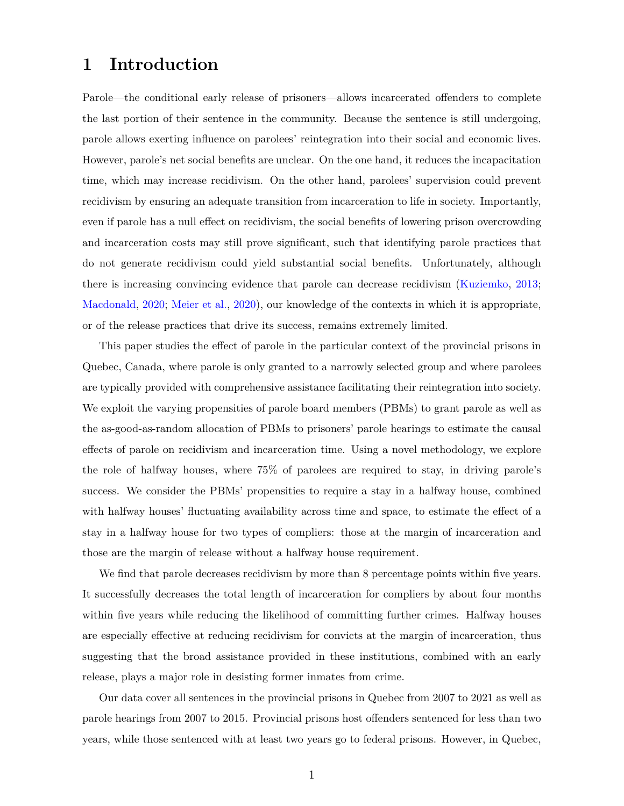# **1 Introduction**

Parole—the conditional early release of prisoners—allows incarcerated offenders to complete the last portion of their sentence in the community. Because the sentence is still undergoing, parole allows exerting influence on parolees' reintegration into their social and economic lives. However, parole's net social benefits are unclear. On the one hand, it reduces the incapacitation time, which may increase recidivism. On the other hand, parolees' supervision could prevent recidivism by ensuring an adequate transition from incarceration to life in society. Importantly, even if parole has a null effect on recidivism, the social benefits of lowering prison overcrowding and incarceration costs may still prove significant, such that identifying parole practices that do not generate recidivism could yield substantial social benefits. Unfortunately, although there is increasing convincing evidence that parole can decrease recidivism ([Kuziemko,](#page-29-0) [2013](#page-29-0); [Macdonald](#page-30-0), [2020;](#page-30-0) [Meier et al.,](#page-30-1) [2020](#page-30-1)), our knowledge of the contexts in which it is appropriate, or of the release practices that drive its success, remains extremely limited.

This paper studies the effect of parole in the particular context of the provincial prisons in Quebec, Canada, where parole is only granted to a narrowly selected group and where parolees are typically provided with comprehensive assistance facilitating their reintegration into society. We exploit the varying propensities of parole board members (PBMs) to grant parole as well as the as-good-as-random allocation of PBMs to prisoners' parole hearings to estimate the causal effects of parole on recidivism and incarceration time. Using a novel methodology, we explore the role of halfway houses, where 75% of parolees are required to stay, in driving parole's success. We consider the PBMs' propensities to require a stay in a halfway house, combined with halfway houses' fluctuating availability across time and space, to estimate the effect of a stay in a halfway house for two types of compliers: those at the margin of incarceration and those are the margin of release without a halfway house requirement.

We find that parole decreases recidivism by more than 8 percentage points within five years. It successfully decreases the total length of incarceration for compliers by about four months within five years while reducing the likelihood of committing further crimes. Halfway houses are especially effective at reducing recidivism for convicts at the margin of incarceration, thus suggesting that the broad assistance provided in these institutions, combined with an early release, plays a major role in desisting former inmates from crime.

Our data cover all sentences in the provincial prisons in Quebec from 2007 to 2021 as well as parole hearings from 2007 to 2015. Provincial prisons host offenders sentenced for less than two years, while those sentenced with at least two years go to federal prisons. However, in Quebec,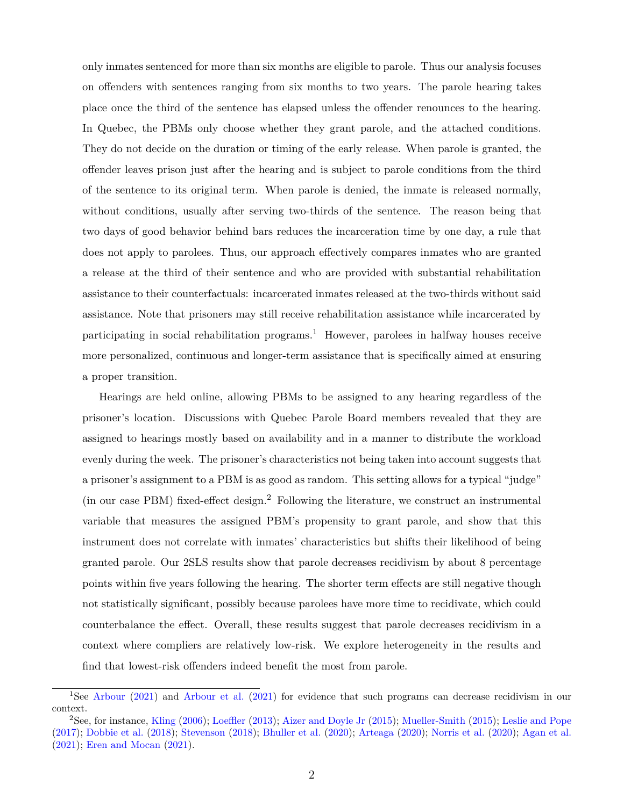only inmates sentenced for more than six months are eligible to parole. Thus our analysis focuses on offenders with sentences ranging from six months to two years. The parole hearing takes place once the third of the sentence has elapsed unless the offender renounces to the hearing. In Quebec, the PBMs only choose whether they grant parole, and the attached conditions. They do not decide on the duration or timing of the early release. When parole is granted, the offender leaves prison just after the hearing and is subject to parole conditions from the third of the sentence to its original term. When parole is denied, the inmate is released normally, without conditions, usually after serving two-thirds of the sentence. The reason being that two days of good behavior behind bars reduces the incarceration time by one day, a rule that does not apply to parolees. Thus, our approach effectively compares inmates who are granted a release at the third of their sentence and who are provided with substantial rehabilitation assistance to their counterfactuals: incarcerated inmates released at the two-thirds without said assistance. Note that prisoners may still receive rehabilitation assistance while incarcerated by participating in social rehabilitation programs.<sup>1</sup> However, parolees in halfway houses receive more personalized, continuous and longer-term assistance that is specifically aimed at ensuring a proper transition.

Hearings are held online, allowing PBMs to be assigned to any hearing regardless of the prisoner's location. Discussions with Quebec Parole Board members revealed that they are assigned to hearings mostly based on availability and in a manner to distribute the workload evenly during the week. The prisoner's characteristics not being taken into account suggests that a prisoner's assignment to a PBM is as good as random. This setting allows for a typical "judge" (in our case PBM) fixed-effect design.2 Following the literature, we construct an instrumental variable that measures the assigned PBM's propensity to grant parole, and show that this instrument does not correlate with inmates' characteristics but shifts their likelihood of being granted parole. Our 2SLS results show that parole decreases recidivism by about 8 percentage points within five years following the hearing. The shorter term effects are still negative though not statistically significant, possibly because parolees have more time to recidivate, which could counterbalance the effect. Overall, these results suggest that parole decreases recidivism in a context where compliers are relatively low-risk. We explore heterogeneity in the results and find that lowest-risk offenders indeed benefit the most from parole.

<sup>1</sup>See [Arbour](#page-28-0) [\(2021](#page-28-0)) and [Arbour et al.](#page-28-1) ([2021\)](#page-28-1) for evidence that such programs can decrease recidivism in our context.

<sup>2</sup>See, for instance, [Kling](#page-29-1) [\(2006](#page-29-1)); [Loeffler](#page-30-2) ([2013\)](#page-30-2); [Aizer and Doyle Jr](#page-28-2) [\(2015](#page-28-2)); [Mueller-Smith](#page-30-3) ([2015\)](#page-30-3); [Leslie and Pope](#page-30-4) ([2017\)](#page-30-4); [Dobbie et al.](#page-29-2) [\(2018\)](#page-29-2); [Stevenson](#page-31-0) [\(2018](#page-31-0)); [Bhuller et al.](#page-29-3) [\(2020](#page-29-3)); [Arteaga](#page-29-4) ([2020\)](#page-29-4); [Norris et al.](#page-30-5) ([2020\)](#page-30-5); [Agan et al.](#page-28-3) ([2021\)](#page-28-3); [Eren and Mocan](#page-29-5) ([2021\)](#page-29-5).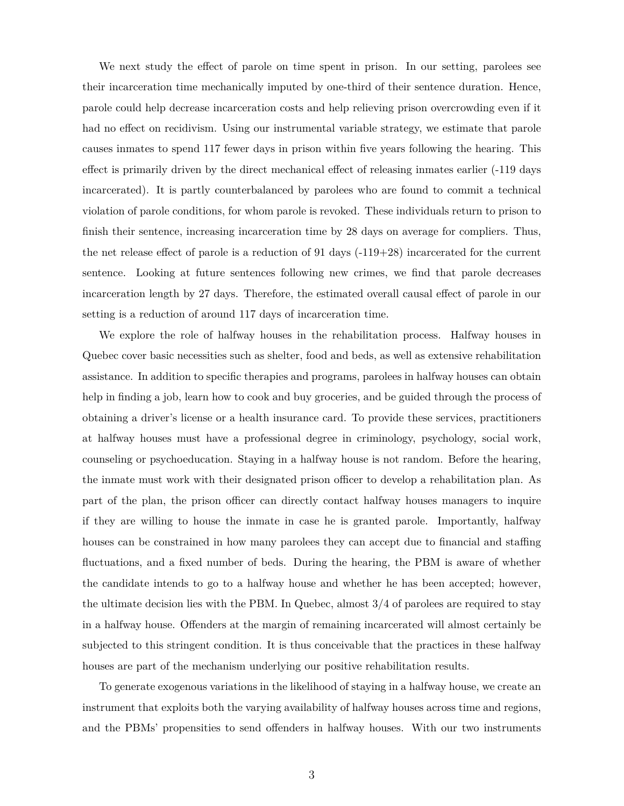We next study the effect of parole on time spent in prison. In our setting, parolees see their incarceration time mechanically imputed by one-third of their sentence duration. Hence, parole could help decrease incarceration costs and help relieving prison overcrowding even if it had no effect on recidivism. Using our instrumental variable strategy, we estimate that parole causes inmates to spend 117 fewer days in prison within five years following the hearing. This effect is primarily driven by the direct mechanical effect of releasing inmates earlier (-119 days incarcerated). It is partly counterbalanced by parolees who are found to commit a technical violation of parole conditions, for whom parole is revoked. These individuals return to prison to finish their sentence, increasing incarceration time by 28 days on average for compliers. Thus, the net release effect of parole is a reduction of 91 days  $(-119+28)$  incarcerated for the current sentence. Looking at future sentences following new crimes, we find that parole decreases incarceration length by 27 days. Therefore, the estimated overall causal effect of parole in our setting is a reduction of around 117 days of incarceration time.

We explore the role of halfway houses in the rehabilitation process. Halfway houses in Quebec cover basic necessities such as shelter, food and beds, as well as extensive rehabilitation assistance. In addition to specific therapies and programs, parolees in halfway houses can obtain help in finding a job, learn how to cook and buy groceries, and be guided through the process of obtaining a driver's license or a health insurance card. To provide these services, practitioners at halfway houses must have a professional degree in criminology, psychology, social work, counseling or psychoeducation. Staying in a halfway house is not random. Before the hearing, the inmate must work with their designated prison officer to develop a rehabilitation plan. As part of the plan, the prison officer can directly contact halfway houses managers to inquire if they are willing to house the inmate in case he is granted parole. Importantly, halfway houses can be constrained in how many parolees they can accept due to financial and staffing fluctuations, and a fixed number of beds. During the hearing, the PBM is aware of whether the candidate intends to go to a halfway house and whether he has been accepted; however, the ultimate decision lies with the PBM. In Quebec, almost 3/4 of parolees are required to stay in a halfway house. Offenders at the margin of remaining incarcerated will almost certainly be subjected to this stringent condition. It is thus conceivable that the practices in these halfway houses are part of the mechanism underlying our positive rehabilitation results.

To generate exogenous variations in the likelihood of staying in a halfway house, we create an instrument that exploits both the varying availability of halfway houses across time and regions, and the PBMs' propensities to send offenders in halfway houses. With our two instruments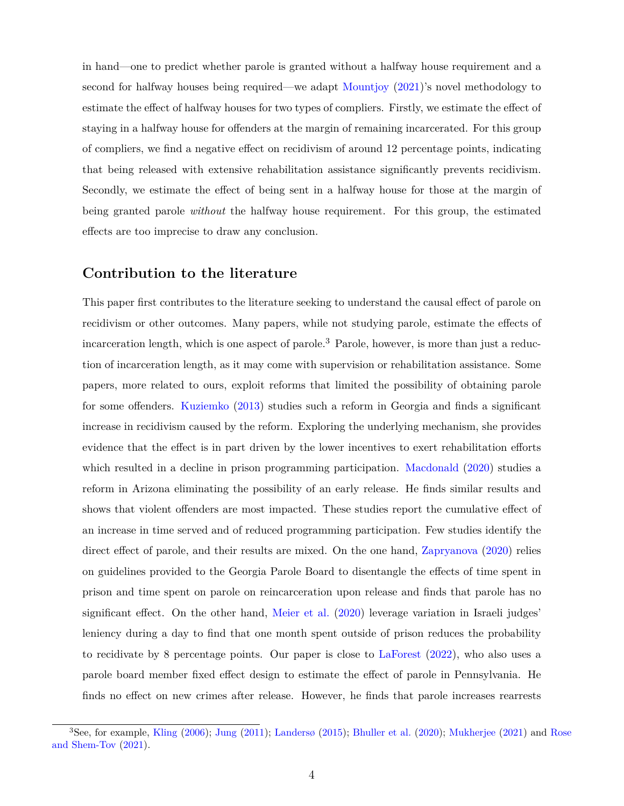in hand—one to predict whether parole is granted without a halfway house requirement and a second for halfway houses being required—we adapt [Mountjoy](#page-30-6) [\(2021](#page-30-6))'s novel methodology to estimate the effect of halfway houses for two types of compliers. Firstly, we estimate the effect of staying in a halfway house for offenders at the margin of remaining incarcerated. For this group of compliers, we find a negative effect on recidivism of around 12 percentage points, indicating that being released with extensive rehabilitation assistance significantly prevents recidivism. Secondly, we estimate the effect of being sent in a halfway house for those at the margin of being granted parole *without* the halfway house requirement. For this group, the estimated effects are too imprecise to draw any conclusion.

### **Contribution to the literature**

This paper first contributes to the literature seeking to understand the causal effect of parole on recidivism or other outcomes. Many papers, while not studying parole, estimate the effects of incarceration length, which is one aspect of parole.<sup>3</sup> Parole, however, is more than just a reduction of incarceration length, as it may come with supervision or rehabilitation assistance. Some papers, more related to ours, exploit reforms that limited the possibility of obtaining parole for some offenders. [Kuziemko](#page-29-0) [\(2013\)](#page-29-0) studies such a reform in Georgia and finds a significant increase in recidivism caused by the reform. Exploring the underlying mechanism, she provides evidence that the effect is in part driven by the lower incentives to exert rehabilitation efforts which resulted in a decline in prison programming participation. [Macdonald](#page-30-0) ([2020](#page-30-0)) studies a reform in Arizona eliminating the possibility of an early release. He finds similar results and shows that violent offenders are most impacted. These studies report the cumulative effect of an increase in time served and of reduced programming participation. Few studies identify the direct effect of parole, and their results are mixed. On the one hand, [Zapryanova](#page-31-1)  $(2020)$  relies on guidelines provided to the Georgia Parole Board to disentangle the effects of time spent in prison and time spent on parole on reincarceration upon release and finds that parole has no significant effect. On the other hand, [Meier et al.](#page-30-1) [\(2020\)](#page-30-1) leverage variation in Israeli judges' leniency during a day to find that one month spent outside of prison reduces the probability to recidivate by 8 percentage points. Our paper is close to [LaForest](#page-29-6) ([2022\)](#page-29-6), who also uses a parole board member fixed effect design to estimate the effect of parole in Pennsylvania. He finds no effect on new crimes after release. However, he finds that parole increases rearrests

<sup>3</sup>See, for example, [Kling](#page-29-1) [\(2006](#page-29-1)); [Jung](#page-29-7) ([2011\)](#page-29-7); [Landersø](#page-30-7) [\(2015](#page-30-7)); [Bhuller et al.](#page-29-3) ([2020\)](#page-29-3); [Mukherjee](#page-30-8) ([2021\)](#page-30-8) and [Rose](#page-30-9) [and Shem-Tov](#page-30-9) [\(2021\)](#page-30-9).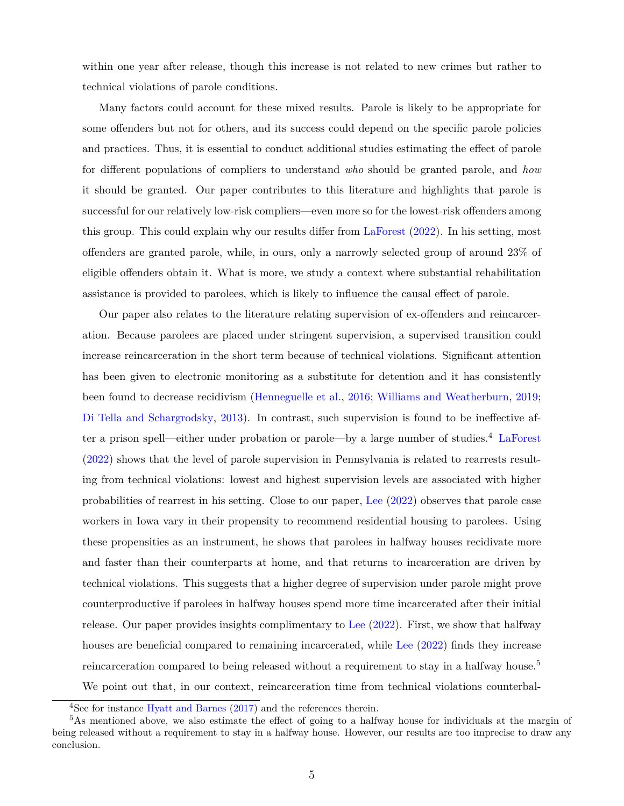within one year after release, though this increase is not related to new crimes but rather to technical violations of parole conditions.

Many factors could account for these mixed results. Parole is likely to be appropriate for some offenders but not for others, and its success could depend on the specific parole policies and practices. Thus, it is essential to conduct additional studies estimating the effect of parole for different populations of compliers to understand *who* should be granted parole, and *how* it should be granted. Our paper contributes to this literature and highlights that parole is successful for our relatively low-risk compliers—even more so for the lowest-risk offenders among this group. This could explain why our results differ from [LaForest](#page-29-6) ([2022\)](#page-29-6). In his setting, most offenders are granted parole, while, in ours, only a narrowly selected group of around 23% of eligible offenders obtain it. What is more, we study a context where substantial rehabilitation assistance is provided to parolees, which is likely to influence the causal effect of parole.

Our paper also relates to the literature relating supervision of ex-offenders and reincarceration. Because parolees are placed under stringent supervision, a supervised transition could increase reincarceration in the short term because of technical violations. Significant attention has been given to electronic monitoring as a substitute for detention and it has consistently been found to decrease recidivism ([Henneguelle et al.,](#page-29-8) [2016](#page-29-8); [Williams and Weatherburn,](#page-31-2) [2019](#page-31-2); [Di Tella and Schargrodsky](#page-29-9), [2013](#page-29-9)). In contrast, such supervision is found to be ineffective after a prison spell—either under probation or parole—by a large number of studies.4 [LaForest](#page-29-6) [\(2022\)](#page-29-6) shows that the level of parole supervision in Pennsylvania is related to rearrests resulting from technical violations: lowest and highest supervision levels are associated with higher probabilities of rearrest in his setting. Close to our paper, [Lee](#page-30-10) [\(2022](#page-30-10)) observes that parole case workers in Iowa vary in their propensity to recommend residential housing to parolees. Using these propensities as an instrument, he shows that parolees in halfway houses recidivate more and faster than their counterparts at home, and that returns to incarceration are driven by technical violations. This suggests that a higher degree of supervision under parole might prove counterproductive if parolees in halfway houses spend more time incarcerated after their initial release. Our paper provides insights complimentary to [Lee](#page-30-10) ([2022\)](#page-30-10). First, we show that halfway houses are beneficial compared to remaining incarcerated, while [Lee](#page-30-10) [\(2022](#page-30-10)) finds they increase reincarceration compared to being released without a requirement to stay in a halfway house.<sup>5</sup> We point out that, in our context, reincarceration time from technical violations counterbal-

<sup>4</sup>See for instance [Hyatt and Barnes](#page-29-10) [\(2017](#page-29-10)) and the references therein.

<sup>5</sup>As mentioned above, we also estimate the effect of going to a halfway house for individuals at the margin of being released without a requirement to stay in a halfway house. However, our results are too imprecise to draw any conclusion.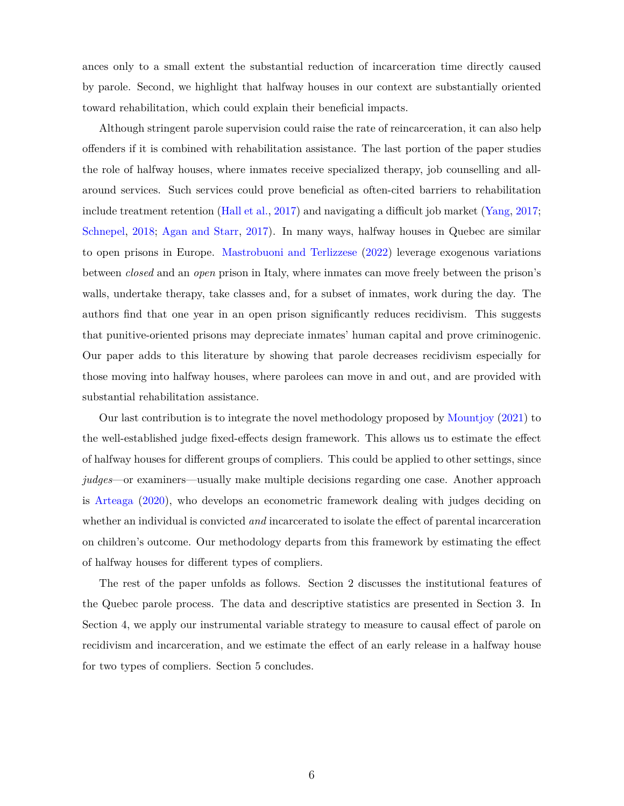ances only to a small extent the substantial reduction of incarceration time directly caused by parole. Second, we highlight that halfway houses in our context are substantially oriented toward rehabilitation, which could explain their beneficial impacts.

Although stringent parole supervision could raise the rate of reincarceration, it can also help offenders if it is combined with rehabilitation assistance. The last portion of the paper studies the role of halfway houses, where inmates receive specialized therapy, job counselling and allaround services. Such services could prove beneficial as often-cited barriers to rehabilitation include treatment retention [\(Hall et al.](#page-29-11), [2017\)](#page-29-11) and navigating a difficult job market [\(Yang](#page-31-3), [2017](#page-31-3); [Schnepel,](#page-30-11) [2018;](#page-30-11) [Agan and Starr](#page-28-4), [2017](#page-28-4)). In many ways, halfway houses in Quebec are similar to open prisons in Europe. [Mastrobuoni and Terlizzese](#page-30-12) [\(2022\)](#page-30-12) leverage exogenous variations between *closed* and an *open* prison in Italy, where inmates can move freely between the prison's walls, undertake therapy, take classes and, for a subset of inmates, work during the day. The authors find that one year in an open prison significantly reduces recidivism. This suggests that punitive-oriented prisons may depreciate inmates' human capital and prove criminogenic. Our paper adds to this literature by showing that parole decreases recidivism especially for those moving into halfway houses, where parolees can move in and out, and are provided with substantial rehabilitation assistance.

Our last contribution is to integrate the novel methodology proposed by [Mountjoy](#page-30-6) [\(2021](#page-30-6)) to the well-established judge fixed-effects design framework. This allows us to estimate the effect of halfway houses for different groups of compliers. This could be applied to other settings, since *judges*—or examiners—usually make multiple decisions regarding one case. Another approach is [Arteaga](#page-29-4) ([2020\)](#page-29-4), who develops an econometric framework dealing with judges deciding on whether an individual is convicted *and* incarcerated to isolate the effect of parental incarceration on children's outcome. Our methodology departs from this framework by estimating the effect of halfway houses for different types of compliers.

The rest of the paper unfolds as follows. Section [2](#page-8-0) discusses the institutional features of the Quebec parole process. The data and descriptive statistics are presented in Section [3](#page-11-0). In Section [4,](#page-14-0) we apply our instrumental variable strategy to measure to causal effect of parole on recidivism and incarceration, and we estimate the effect of an early release in a halfway house for two types of compliers. Section [5](#page-27-0) concludes.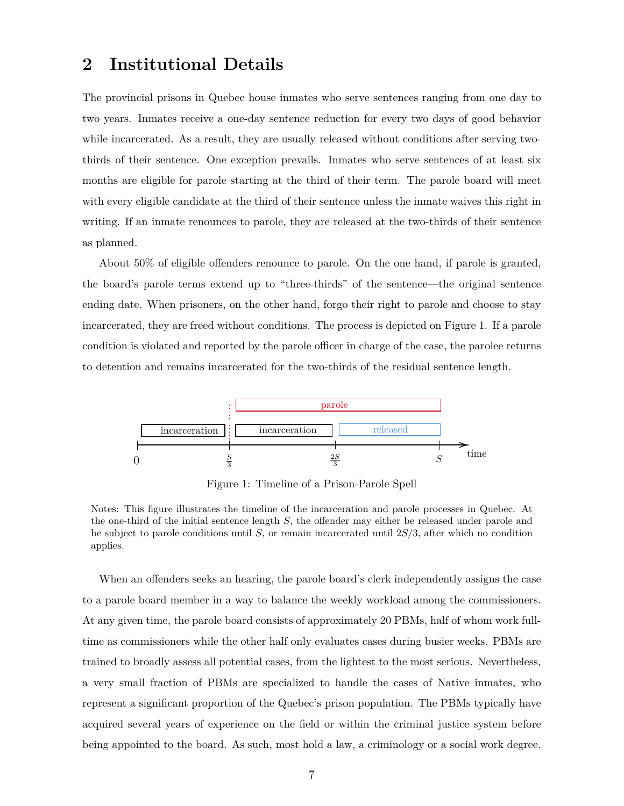# <span id="page-8-0"></span>**2 Institutional Details**

The provincial prisons in Quebec house inmates who serve sentences ranging from one day to two years. Inmates receive a one-day sentence reduction for every two days of good behavior while incarcerated. As a result, they are usually released without conditions after serving twothirds of their sentence. One exception prevails. Inmates who serve sentences of at least six months are eligible for parole starting at the third of their term. The parole board will meet with every eligible candidate at the third of their sentence unless the inmate waives this right in writing. If an inmate renounces to parole, they are released at the two-thirds of their sentence as planned.

About 50% of eligible offenders renounce to parole. On the one hand, if parole is granted, the board's parole terms extend up to "three-thirds" of the sentence—the original sentence ending date. When prisoners, on the other hand, forgo their right to parole and choose to stay incarcerated, they are freed without conditions. The process is depicted on Figure [1.](#page-8-1) If a parole condition is violated and reported by the parole officer in charge of the case, the parolee returns to detention and remains incarcerated for the two-thirds of the residual sentence length.

<span id="page-8-1"></span>

Figure 1: Timeline of a Prison-Parole Spell

When an offenders seeks an hearing, the parole board's clerk independently assigns the case to a parole board member in a way to balance the weekly workload among the commissioners. At any given time, the parole board consists of approximately 20 PBMs, half of whom work fulltime as commissioners while the other half only evaluates cases during busier weeks. PBMs are trained to broadly assess all potential cases, from the lightest to the most serious. Nevertheless, a very small fraction of PBMs are specialized to handle the cases of Native inmates, who represent a significant proportion of the Quebec's prison population. The PBMs typically have acquired several years of experience on the field or within the criminal justice system before being appointed to the board. As such, most hold a law, a criminology or a social work degree.

Notes: This figure illustrates the timeline of the incarceration and parole processes in Quebec. At the one-third of the initial sentence length *S*, the offender may either be released under parole and be subject to parole conditions until *S*, or remain incarcerated until 2*S/*3, after which no condition applies.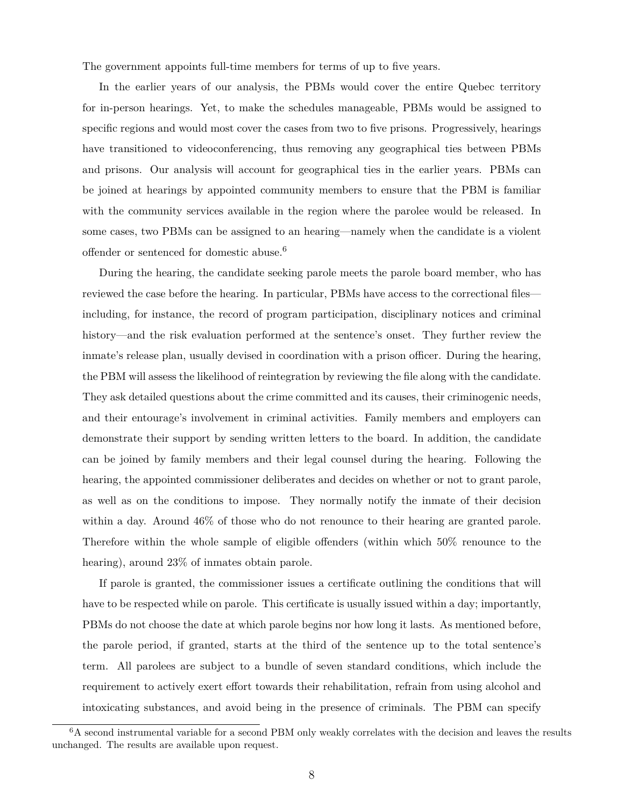The government appoints full-time members for terms of up to five years.

In the earlier years of our analysis, the PBMs would cover the entire Quebec territory for in-person hearings. Yet, to make the schedules manageable, PBMs would be assigned to specific regions and would most cover the cases from two to five prisons. Progressively, hearings have transitioned to videoconferencing, thus removing any geographical ties between PBMs and prisons. Our analysis will account for geographical ties in the earlier years. PBMs can be joined at hearings by appointed community members to ensure that the PBM is familiar with the community services available in the region where the parolee would be released. In some cases, two PBMs can be assigned to an hearing—namely when the candidate is a violent offender or sentenced for domestic abuse.6

During the hearing, the candidate seeking parole meets the parole board member, who has reviewed the case before the hearing. In particular, PBMs have access to the correctional files including, for instance, the record of program participation, disciplinary notices and criminal history—and the risk evaluation performed at the sentence's onset. They further review the inmate's release plan, usually devised in coordination with a prison officer. During the hearing, the PBM will assess the likelihood of reintegration by reviewing the file along with the candidate. They ask detailed questions about the crime committed and its causes, their criminogenic needs, and their entourage's involvement in criminal activities. Family members and employers can demonstrate their support by sending written letters to the board. In addition, the candidate can be joined by family members and their legal counsel during the hearing. Following the hearing, the appointed commissioner deliberates and decides on whether or not to grant parole, as well as on the conditions to impose. They normally notify the inmate of their decision within a day. Around 46% of those who do not renounce to their hearing are granted parole. Therefore within the whole sample of eligible offenders (within which 50% renounce to the hearing), around 23% of inmates obtain parole.

If parole is granted, the commissioner issues a certificate outlining the conditions that will have to be respected while on parole. This certificate is usually issued within a day; importantly, PBMs do not choose the date at which parole begins nor how long it lasts. As mentioned before, the parole period, if granted, starts at the third of the sentence up to the total sentence's term. All parolees are subject to a bundle of seven standard conditions, which include the requirement to actively exert effort towards their rehabilitation, refrain from using alcohol and intoxicating substances, and avoid being in the presence of criminals. The PBM can specify

<sup>&</sup>lt;sup>6</sup>A second instrumental variable for a second PBM only weakly correlates with the decision and leaves the results unchanged. The results are available upon request.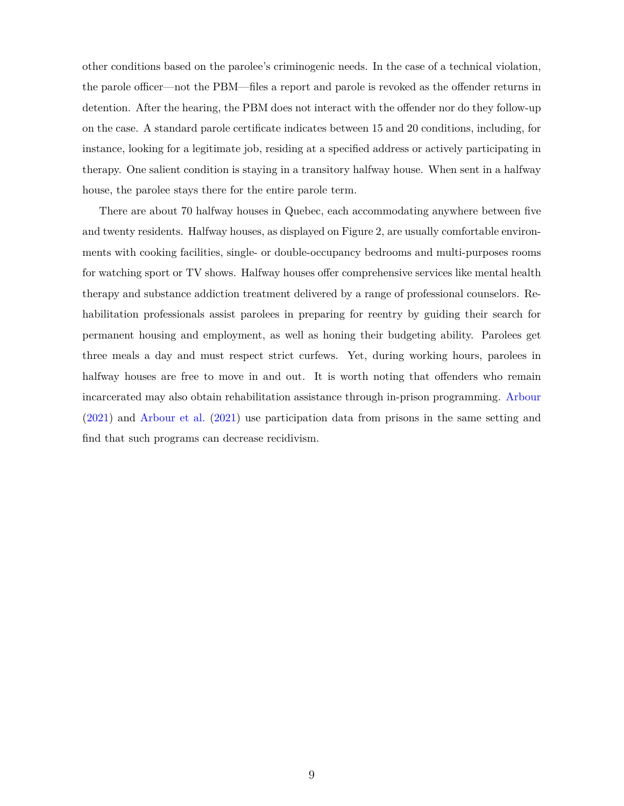other conditions based on the parolee's criminogenic needs. In the case of a technical violation, the parole officer—not the PBM—files a report and parole is revoked as the offender returns in detention. After the hearing, the PBM does not interact with the offender nor do they follow-up on the case. A standard parole certificate indicates between 15 and 20 conditions, including, for instance, looking for a legitimate job, residing at a specified address or actively participating in therapy. One salient condition is staying in a transitory halfway house. When sent in a halfway house, the parolee stays there for the entire parole term.

There are about 70 halfway houses in Quebec, each accommodating anywhere between five and twenty residents. Halfway houses, as displayed on Figure [2](#page-11-1), are usually comfortable environments with cooking facilities, single- or double-occupancy bedrooms and multi-purposes rooms for watching sport or TV shows. Halfway houses offer comprehensive services like mental health therapy and substance addiction treatment delivered by a range of professional counselors. Rehabilitation professionals assist parolees in preparing for reentry by guiding their search for permanent housing and employment, as well as honing their budgeting ability. Parolees get three meals a day and must respect strict curfews. Yet, during working hours, parolees in halfway houses are free to move in and out. It is worth noting that offenders who remain incarcerated may also obtain rehabilitation assistance through in-prison programming. [Arbour](#page-28-0) [\(2021\)](#page-28-0) and [Arbour et al.](#page-28-1) [\(2021\)](#page-28-1) use participation data from prisons in the same setting and find that such programs can decrease recidivism.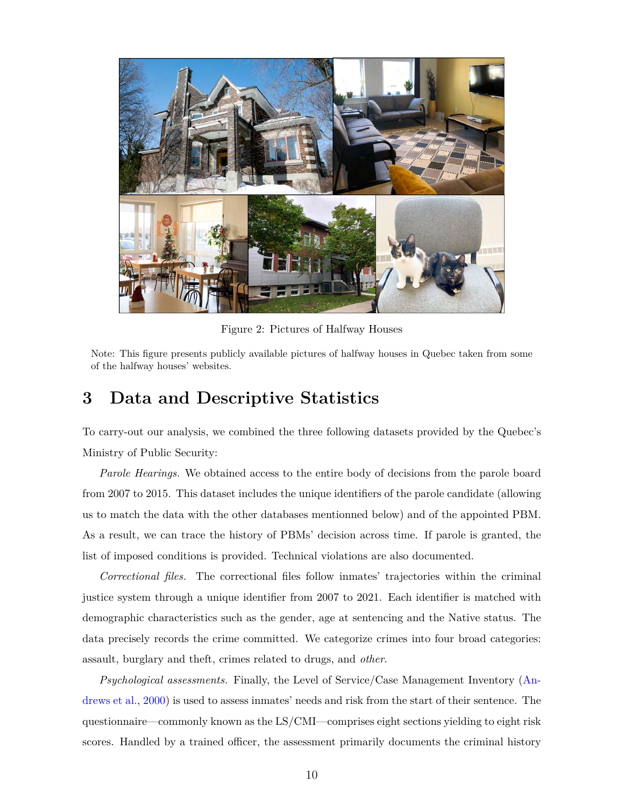<span id="page-11-1"></span>

Figure 2: Pictures of Halfway Houses

Note: This figure presents publicly available pictures of halfway houses in Quebec taken from some of the halfway houses' websites.

# <span id="page-11-0"></span>**3 Data and Descriptive Statistics**

To carry-out our analysis, we combined the three following datasets provided by the Quebec's Ministry of Public Security:

*Parole Hearings.* We obtained access to the entire body of decisions from the parole board from 2007 to 2015. This dataset includes the unique identifiers of the parole candidate (allowing us to match the data with the other databases mentionned below) and of the appointed PBM. As a result, we can trace the history of PBMs' decision across time. If parole is granted, the list of imposed conditions is provided. Technical violations are also documented.

*Correctional files.* The correctional files follow inmates' trajectories within the criminal justice system through a unique identifier from 2007 to 2021. Each identifier is matched with demographic characteristics such as the gender, age at sentencing and the Native status. The data precisely records the crime committed. We categorize crimes into four broad categories: assault, burglary and theft, crimes related to drugs, and *other*.

*Psychological assessments.* Finally, the Level of Service/Case Management Inventory [\(An](#page-28-5)[drews et al.,](#page-28-5) [2000](#page-28-5)) is used to assess inmates' needs and risk from the start of their sentence. The questionnaire—commonly known as the LS/CMI—comprises eight sections yielding to eight risk scores. Handled by a trained officer, the assessment primarily documents the criminal history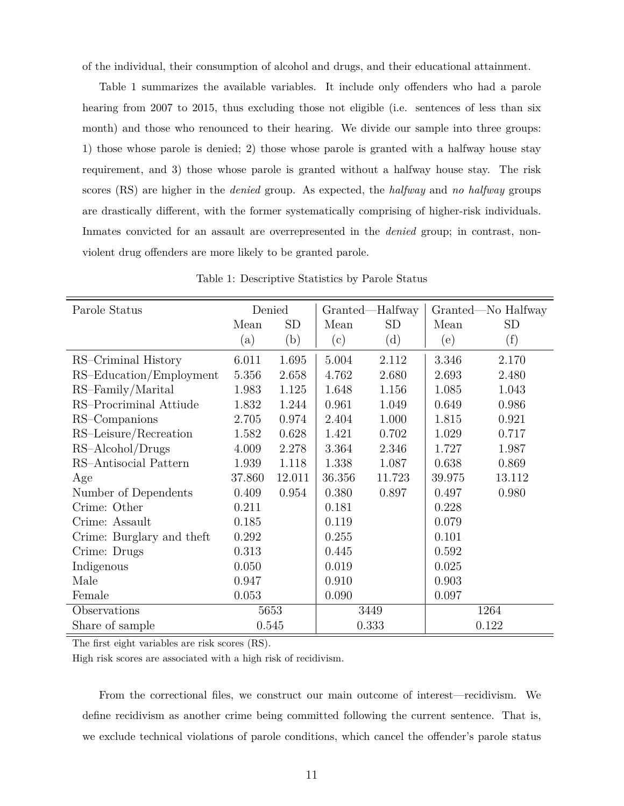of the individual, their consumption of alcohol and drugs, and their educational attainment.

Table [1](#page-12-0) summarizes the available variables. It include only offenders who had a parole hearing from 2007 to 2015, thus excluding those not eligible (i.e. sentences of less than six month) and those who renounced to their hearing. We divide our sample into three groups: 1) those whose parole is denied; 2) those whose parole is granted with a halfway house stay requirement, and 3) those whose parole is granted without a halfway house stay. The risk scores (RS) are higher in the *denied* group. As expected, the *halfway* and *no halfway* groups are drastically different, with the former systematically comprising of higher-risk individuals. Inmates convicted for an assault are overrepresented in the *denied* group; in contrast, nonviolent drug offenders are more likely to be granted parole.

<span id="page-12-0"></span>

| Parole Status             |        | Denied    |        | Granted—Halfway |        | Granted—No Halfway |
|---------------------------|--------|-----------|--------|-----------------|--------|--------------------|
|                           | Mean   | <b>SD</b> | Mean   | <b>SD</b>       | Mean   | <b>SD</b>          |
|                           | (a)    | (b)       | (c)    | (d)             | (e)    | (f)                |
| RS-Criminal History       | 6.011  | 1.695     | 5.004  | 2.112           | 3.346  | 2.170              |
| RS-Education/Employment   | 5.356  | 2.658     | 4.762  | 2.680           | 2.693  | 2.480              |
| RS-Family/Marital         | 1.983  | 1.125     | 1.648  | 1.156           | 1.085  | 1.043              |
| RS-Procriminal Attiude    | 1.832  | 1.244     | 0.961  | 1.049           | 0.649  | 0.986              |
| RS-Companions             | 2.705  | 0.974     | 2.404  | 1.000           | 1.815  | 0.921              |
| RS-Leisure/Recreation     | 1.582  | 0.628     | 1.421  | 0.702           | 1.029  | 0.717              |
| RS-Alcohol/Drugs          | 4.009  | 2.278     | 3.364  | 2.346           | 1.727  | 1.987              |
| RS-Antisocial Pattern     | 1.939  | 1.118     | 1.338  | 1.087           | 0.638  | 0.869              |
| Age                       | 37.860 | 12.011    | 36.356 | 11.723          | 39.975 | 13.112             |
| Number of Dependents      | 0.409  | 0.954     | 0.380  | 0.897           | 0.497  | 0.980              |
| Crime: Other              | 0.211  |           | 0.181  |                 | 0.228  |                    |
| Crime: Assault            | 0.185  |           | 0.119  |                 | 0.079  |                    |
| Crime: Burglary and theft | 0.292  |           | 0.255  |                 | 0.101  |                    |
| Crime: Drugs              | 0.313  |           | 0.445  |                 | 0.592  |                    |
| Indigenous                | 0.050  |           | 0.019  |                 | 0.025  |                    |
| Male                      | 0.947  |           | 0.910  |                 | 0.903  |                    |
| Female                    | 0.053  |           | 0.090  |                 | 0.097  |                    |
| Observations              |        | 5653      |        | 3449            | 1264   |                    |
| Share of sample           | 0.545  |           |        | 0.333           |        | 0.122              |

Table 1: Descriptive Statistics by Parole Status

The first eight variables are risk scores (RS).

High risk scores are associated with a high risk of recidivism.

From the correctional files, we construct our main outcome of interest—recidivism. We define recidivism as another crime being committed following the current sentence. That is, we exclude technical violations of parole conditions, which cancel the offender's parole status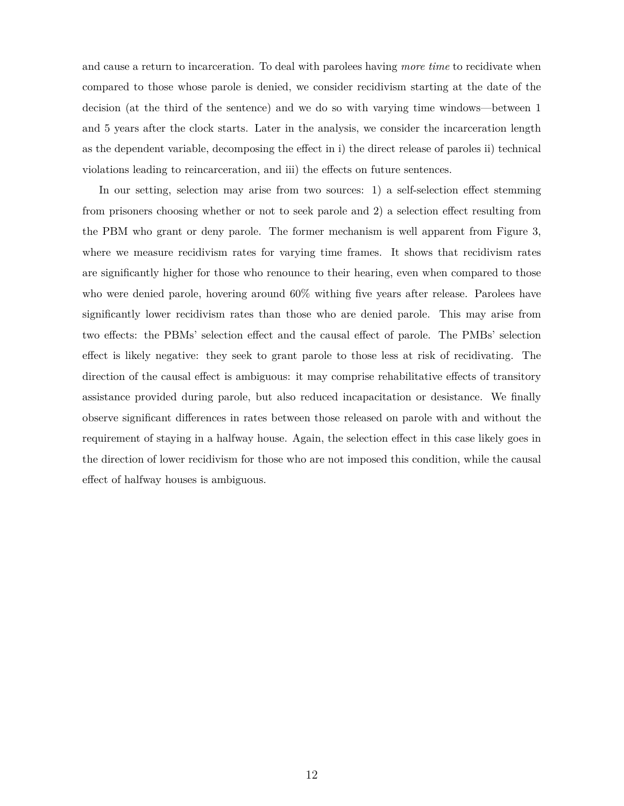and cause a return to incarceration. To deal with parolees having *more time* to recidivate when compared to those whose parole is denied, we consider recidivism starting at the date of the decision (at the third of the sentence) and we do so with varying time windows—between 1 and 5 years after the clock starts. Later in the analysis, we consider the incarceration length as the dependent variable, decomposing the effect in i) the direct release of paroles ii) technical violations leading to reincarceration, and iii) the effects on future sentences.

In our setting, selection may arise from two sources: 1) a self-selection effect stemming from prisoners choosing whether or not to seek parole and 2) a selection effect resulting from the PBM who grant or deny parole. The former mechanism is well apparent from Figure [3](#page-14-1), where we measure recidivism rates for varying time frames. It shows that recidivism rates are significantly higher for those who renounce to their hearing, even when compared to those who were denied parole, hovering around 60% withing five years after release. Parolees have significantly lower recidivism rates than those who are denied parole. This may arise from two effects: the PBMs' selection effect and the causal effect of parole. The PMBs' selection effect is likely negative: they seek to grant parole to those less at risk of recidivating. The direction of the causal effect is ambiguous: it may comprise rehabilitative effects of transitory assistance provided during parole, but also reduced incapacitation or desistance. We finally observe significant differences in rates between those released on parole with and without the requirement of staying in a halfway house. Again, the selection effect in this case likely goes in the direction of lower recidivism for those who are not imposed this condition, while the causal effect of halfway houses is ambiguous.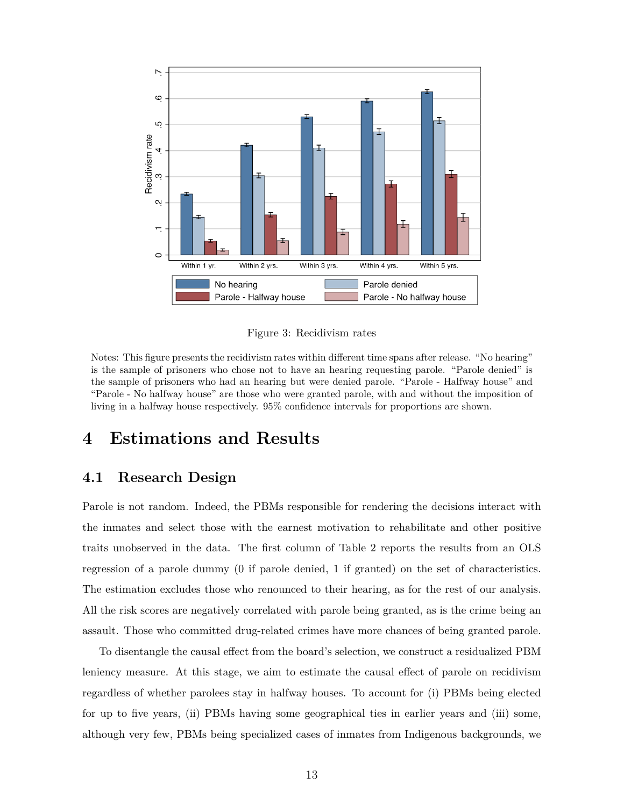<span id="page-14-1"></span>

Figure 3: Recidivism rates

Notes: This figure presents the recidivism rates within different time spans after release. "No hearing" is the sample of prisoners who chose not to have an hearing requesting parole. "Parole denied" is the sample of prisoners who had an hearing but were denied parole. "Parole - Halfway house" and "Parole - No halfway house" are those who were granted parole, with and without the imposition of living in a halfway house respectively. 95% confidence intervals for proportions are shown.

# <span id="page-14-0"></span>**4 Estimations and Results**

### **4.1 Research Design**

Parole is not random. Indeed, the PBMs responsible for rendering the decisions interact with the inmates and select those with the earnest motivation to rehabilitate and other positive traits unobserved in the data. The first column of Table [2](#page-15-0) reports the results from an OLS regression of a parole dummy (0 if parole denied, 1 if granted) on the set of characteristics. The estimation excludes those who renounced to their hearing, as for the rest of our analysis. All the risk scores are negatively correlated with parole being granted, as is the crime being an assault. Those who committed drug-related crimes have more chances of being granted parole.

To disentangle the causal effect from the board's selection, we construct a residualized PBM leniency measure. At this stage, we aim to estimate the causal effect of parole on recidivism regardless of whether parolees stay in halfway houses. To account for (i) PBMs being elected for up to five years, (ii) PBMs having some geographical ties in earlier years and (iii) some, although very few, PBMs being specialized cases of inmates from Indigenous backgrounds, we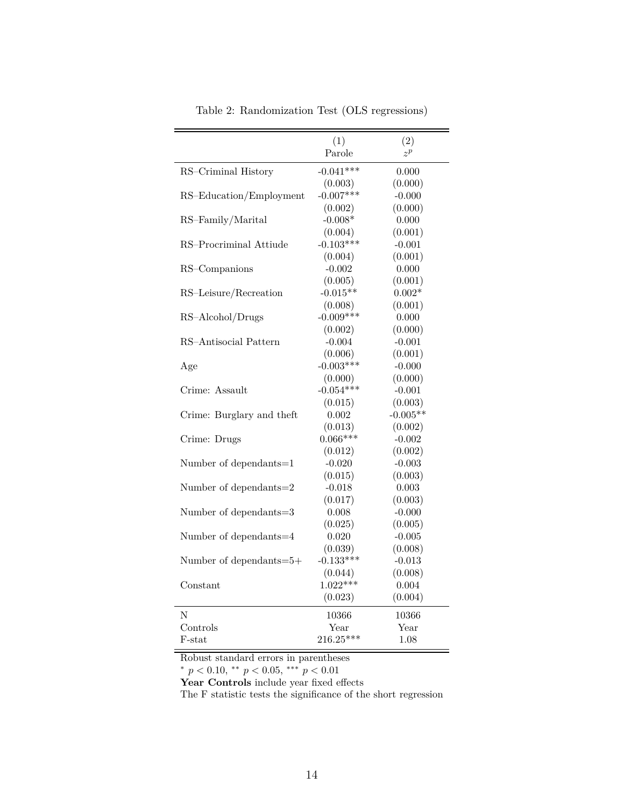<span id="page-15-0"></span>

|                           | (1)         | (2)        |
|---------------------------|-------------|------------|
|                           | Parole      | $z^p$      |
| RS-Criminal History       | $-0.041***$ | 0.000      |
|                           | (0.003)     | (0.000)    |
| RS-Education/Employment   | $-0.007***$ | $-0.000$   |
|                           | (0.002)     | (0.000)    |
| RS-Family/Marital         | $-0.008*$   | 0.000      |
|                           | (0.004)     | (0.001)    |
| RS-Procriminal Attiude    | $-0.103***$ | $-0.001$   |
|                           | (0.004)     | (0.001)    |
| RS-Companions             | $-0.002$    | 0.000      |
|                           | (0.005)     | (0.001)    |
| RS-Leisure/Recreation     | $-0.015**$  | $0.002*$   |
|                           | (0.008)     | (0.001)    |
| RS-Alcohol/Drugs          | $-0.009***$ | 0.000      |
|                           | (0.002)     | (0.000)    |
| RS-Antisocial Pattern     | $-0.004$    | $-0.001$   |
|                           | (0.006)     | (0.001)    |
| Age                       | $-0.003***$ | $-0.000$   |
|                           | (0.000)     | (0.000)    |
| Crime: Assault            | $-0.054***$ | $-0.001$   |
|                           | (0.015)     | (0.003)    |
| Crime: Burglary and theft | 0.002       | $-0.005**$ |
|                           | (0.013)     | (0.002)    |
| Crime: Drugs              | $0.066***$  | $-0.002$   |
|                           | (0.012)     | (0.002)    |
| Number of dependants=1    | $-0.020$    | $-0.003$   |
|                           | (0.015)     | (0.003)    |
| Number of dependants=2    | $-0.018$    | 0.003      |
|                           | (0.017)     | (0.003)    |
| Number of dependants=3    | 0.008       | $-0.000$   |
|                           | (0.025)     | (0.005)    |
| Number of dependants=4    | 0.020       | $-0.005$   |
|                           | (0.039)     | (0.008)    |
| Number of dependants=5+   | $-0.133***$ | $-0.013$   |
|                           | (0.044)     | (0.008)    |
| Constant                  | $1.022***$  | 0.004      |
|                           | (0.023)     | (0.004)    |
| N                         | 10366       | 10366      |
| Controls                  | Year        | Year       |
| F-stat                    | $216.25***$ | 1.08       |
|                           |             |            |

Table 2: Randomization Test (OLS regressions)

Robust standard errors in parentheses

*<sup>∗</sup> p <* 0*.*10, *∗∗ p <* 0*.*05, *∗∗∗ p <* 0*.*01

Year Controls include year fixed effects

The F statistic tests the significance of the short regression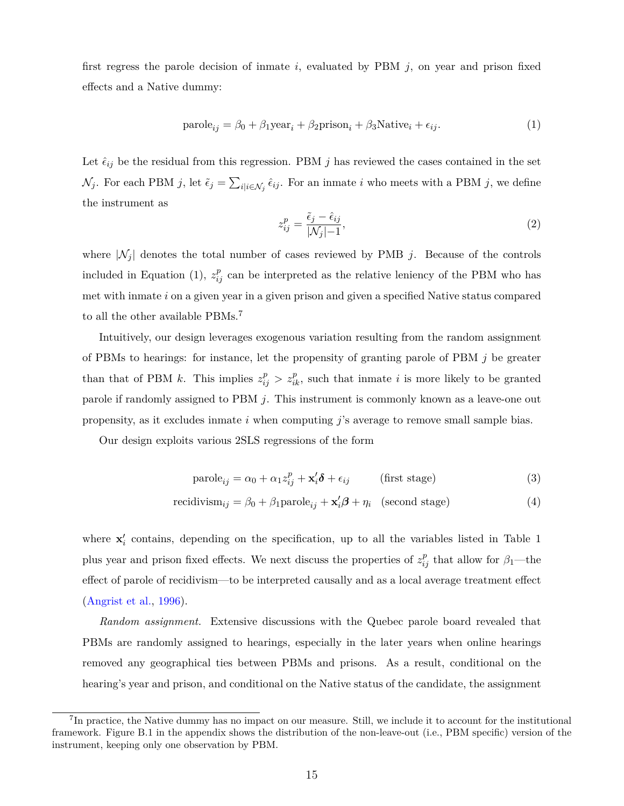first regress the parole decision of inmate *i*, evaluated by PBM *j*, on year and prison fixed effects and a Native dummy:

<span id="page-16-0"></span>
$$
parole_{ij} = \beta_0 + \beta_1 \text{year}_i + \beta_2 \text{prison}_i + \beta_3 \text{Native}_i + \epsilon_{ij}.
$$
 (1)

Let  $\hat{\epsilon}_{ij}$  be the residual from this regression. PBM *j* has reviewed the cases contained in the set  $\mathcal{N}_j$ . For each PBM *j*, let  $\tilde{\epsilon}_j = \sum_{i | i \in \mathcal{N}_j} \hat{\epsilon}_{ij}$ . For an inmate *i* who meets with a PBM *j*, we define the instrument as

$$
z_{ij}^p = \frac{\tilde{\epsilon}_j - \hat{\epsilon}_{ij}}{|\mathcal{N}_j| - 1},\tag{2}
$$

where  $|N_j|$  denotes the total number of cases reviewed by PMB *j*. Because of the controls included in Equation ([1](#page-16-0)),  $z_{ij}^p$  can be interpreted as the relative leniency of the PBM who has met with inmate *i* on a given year in a given prison and given a specified Native status compared to all the other available PBMs.<sup>7</sup>

Intuitively, our design leverages exogenous variation resulting from the random assignment of PBMs to hearings: for instance, let the propensity of granting parole of PBM *j* be greater than that of PBM *k*. This implies  $z_{ij}^p > z_{ik}^p$ , such that inmate *i* is more likely to be granted parole if randomly assigned to PBM *j*. This instrument is commonly known as a leave-one out propensity, as it excludes inmate *i* when computing *j*'s average to remove small sample bias.

Our design exploits various 2SLS regressions of the form

<span id="page-16-1"></span>
$$
\text{parole}_{ij} = \alpha_0 + \alpha_1 z_{ij}^p + \mathbf{x}_i' \delta + \epsilon_{ij} \quad \text{(first stage)}
$$
\n
$$
\tag{3}
$$

recidivism<sub>ij</sub> = 
$$
\beta_0 + \beta_1
$$
parole<sub>ij</sub> +  $\mathbf{x}'_i \boldsymbol{\beta} + \eta_i$  (second stage) (4)

where  $\mathbf{x}'_i$  contains, depending on the specification, up to all the variables listed in Table [1](#page-12-0) plus year and prison fixed effects. We next discuss the properties of  $z_{ij}^p$  that allow for  $\beta_1$ —the effect of parole of recidivism—to be interpreted causally and as a local average treatment effect [\(Angrist et al.,](#page-28-6) [1996](#page-28-6)).

*Random assignment.* Extensive discussions with the Quebec parole board revealed that PBMs are randomly assigned to hearings, especially in the later years when online hearings removed any geographical ties between PBMs and prisons. As a result, conditional on the hearing's year and prison, and conditional on the Native status of the candidate, the assignment

<sup>&</sup>lt;sup>7</sup>In practice, the Native dummy has no impact on our measure. Still, we include it to account for the institutional framework. Figure [B.1](#page-37-0) in the appendix shows the distribution of the non-leave-out (i.e., PBM specific) version of the instrument, keeping only one observation by PBM.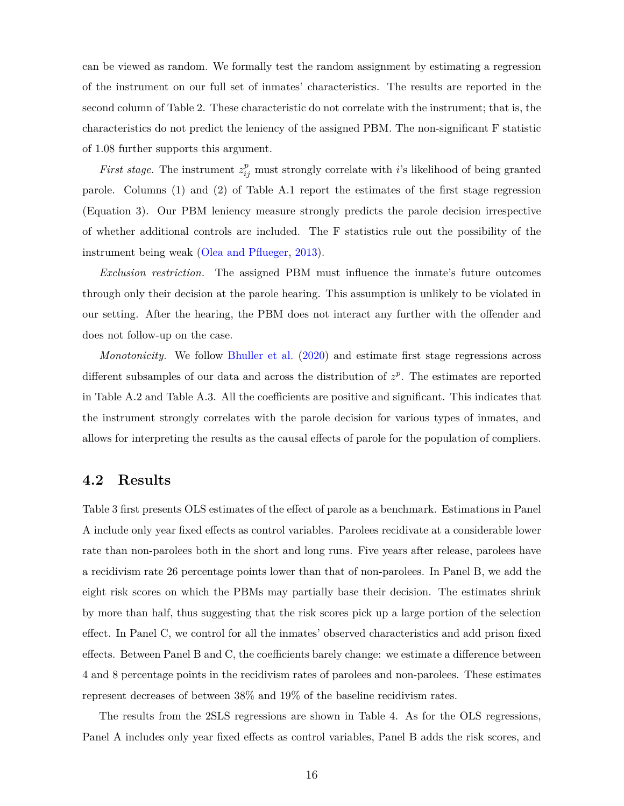can be viewed as random. We formally test the random assignment by estimating a regression of the instrument on our full set of inmates' characteristics. The results are reported in the second column of Table [2.](#page-15-0) These characteristic do not correlate with the instrument; that is, the characteristics do not predict the leniency of the assigned PBM. The non-significant F statistic of 1*.*08 further supports this argument.

*First stage.* The instrument  $z_{ij}^p$  must strongly correlate with *i*'s likelihood of being granted parole. Columns (1) and (2) of Table [A.1](#page-32-0) report the estimates of the first stage regression (Equation [3\)](#page-16-1). Our PBM leniency measure strongly predicts the parole decision irrespective of whether additional controls are included. The F statistics rule out the possibility of the instrument being weak [\(Olea and Pflueger](#page-30-13), [2013](#page-30-13)).

*Exclusion restriction.* The assigned PBM must influence the inmate's future outcomes through only their decision at the parole hearing. This assumption is unlikely to be violated in our setting. After the hearing, the PBM does not interact any further with the offender and does not follow-up on the case.

*Monotonicity.* We follow [Bhuller et al.](#page-29-3) ([2020\)](#page-29-3) and estimate first stage regressions across different subsamples of our data and across the distribution of  $z^p$ . The estimates are reported in Table [A.2](#page-33-0) and Table [A.3](#page-34-0). All the coefficients are positive and significant. This indicates that the instrument strongly correlates with the parole decision for various types of inmates, and allows for interpreting the results as the causal effects of parole for the population of compliers.

### **4.2 Results**

Table [3](#page-18-0) first presents OLS estimates of the effect of parole as a benchmark. Estimations in Panel A include only year fixed effects as control variables. Parolees recidivate at a considerable lower rate than non-parolees both in the short and long runs. Five years after release, parolees have a recidivism rate 26 percentage points lower than that of non-parolees. In Panel B, we add the eight risk scores on which the PBMs may partially base their decision. The estimates shrink by more than half, thus suggesting that the risk scores pick up a large portion of the selection effect. In Panel C, we control for all the inmates' observed characteristics and add prison fixed effects. Between Panel B and C, the coefficients barely change: we estimate a difference between 4 and 8 percentage points in the recidivism rates of parolees and non-parolees. These estimates represent decreases of between 38% and 19% of the baseline recidivism rates.

The results from the 2SLS regressions are shown in Table [4.](#page-19-0) As for the OLS regressions, Panel A includes only year fixed effects as control variables, Panel B adds the risk scores, and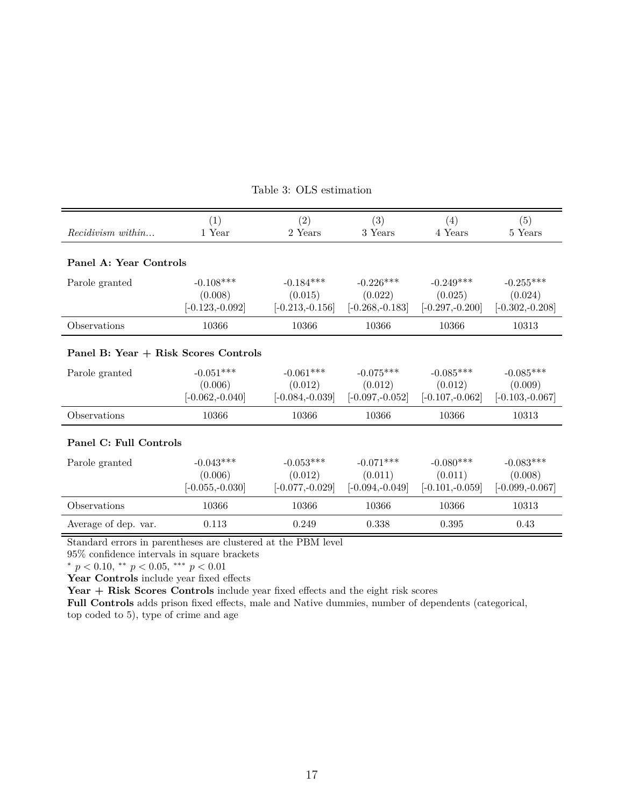<span id="page-18-0"></span>

|                                      | (1)               | (2)                | (3)                | (4)                | (5)               |  |  |  |
|--------------------------------------|-------------------|--------------------|--------------------|--------------------|-------------------|--|--|--|
| $Recidivism$ within                  | 1 Year            | 2 Years            | 3 Years            | 4 Years            | 5 Years           |  |  |  |
|                                      |                   |                    |                    |                    |                   |  |  |  |
| Panel A: Year Controls               |                   |                    |                    |                    |                   |  |  |  |
| Parole granted                       | $-0.108***$       | $-0.184***$        | $-0.226***$        | $-0.249***$        | $-0.255***$       |  |  |  |
|                                      | (0.008)           | (0.015)            | (0.022)            | (0.025)            | (0.024)           |  |  |  |
|                                      | $[-0.123,-0.092]$ | $[-0.213,-0.156]$  | $[-0.268, -0.183]$ | $[-0.297, -0.200]$ | $[-0.302,-0.208]$ |  |  |  |
| Observations                         | 10366             | 10366              | 10366              | 10366              | 10313             |  |  |  |
| Panel B: Year + Risk Scores Controls |                   |                    |                    |                    |                   |  |  |  |
| Parole granted                       | $-0.051***$       | $-0.061***$        | $-0.075***$        | $-0.085***$        | $-0.085***$       |  |  |  |
|                                      | (0.006)           | (0.012)            | (0.012)            | (0.012)            | (0.009)           |  |  |  |
|                                      | $[-0.062,-0.040]$ | $[-0.084, -0.039]$ | $[-0.097,-0.052]$  | $[-0.107,-0.062]$  | $[-0.103,-0.067]$ |  |  |  |
| Observations                         | 10366             | 10366              | 10366              | 10366              | 10313             |  |  |  |
| Panel C: Full Controls               |                   |                    |                    |                    |                   |  |  |  |
| Parole granted                       | $-0.043***$       | $-0.053***$        | $-0.071***$        | $-0.080***$        | $-0.083***$       |  |  |  |
|                                      | (0.006)           | (0.012)            | (0.011)            | (0.011)            | (0.008)           |  |  |  |
|                                      | $[-0.055,-0.030]$ | $[-0.077,-0.029]$  | $[-0.094,-0.049]$  | $[-0.101,-0.059]$  | $[-0.099,-0.067]$ |  |  |  |
| Observations                         | 10366             | 10366              | 10366              | 10366              | 10313             |  |  |  |
| Average of dep. var.                 | 0.113             | 0.249              | 0.338              | 0.395              | 0.43              |  |  |  |

Table 3: OLS estimation

Standard errors in parentheses are clustered at the PBM level

95% confidence intervals in square brackets

*<sup>∗</sup> p <* 0*.*10, *∗∗ p <* 0*.*05, *∗∗∗ p <* 0*.*01

**Year Controls** include year fixed effects

Year + Risk Scores Controls include year fixed effects and the eight risk scores

**Full Controls** adds prison fixed effects, male and Native dummies, number of dependents (categorical, top coded to 5), type of crime and age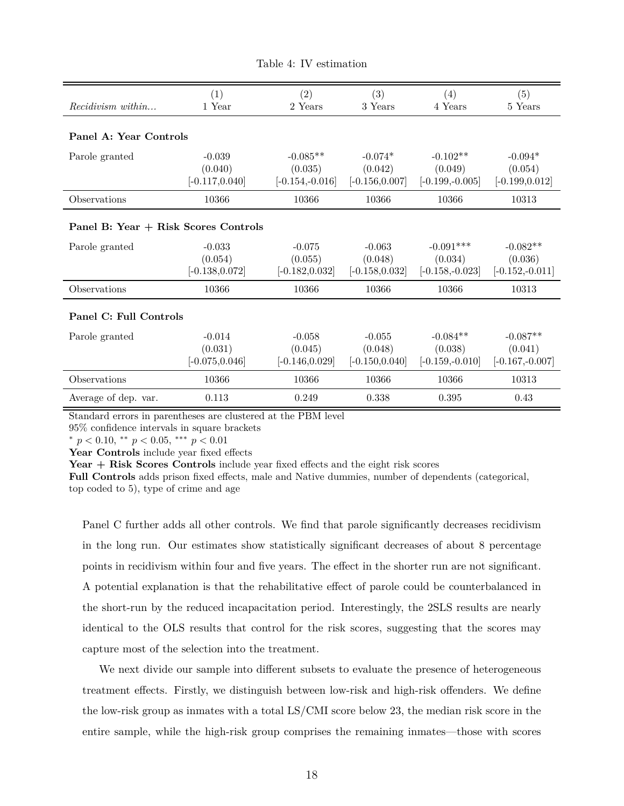<span id="page-19-0"></span>

| Recidivism within                    | (1)<br>1 Year     | (2)<br>2 Years    | (3)<br>3 Years    | (4)<br>4 Years    | (5)<br>5 Years     |
|--------------------------------------|-------------------|-------------------|-------------------|-------------------|--------------------|
|                                      |                   |                   |                   |                   |                    |
|                                      |                   |                   |                   |                   |                    |
| Panel A: Year Controls               |                   |                   |                   |                   |                    |
|                                      | $-0.039$          |                   | $-0.074*$         | $-0.102**$        |                    |
| Parole granted                       |                   | $-0.085**$        |                   |                   | $-0.094*$          |
|                                      | (0.040)           | (0.035)           | (0.042)           | (0.049)           | (0.054)            |
|                                      | $[-0.117, 0.040]$ | $[-0.154,-0.016]$ | $[-0.156, 0.007]$ | $[-0.199,-0.005]$ | $[-0.199, 0.012]$  |
| Observations                         | 10366             | 10366             | 10366             | 10366             | 10313              |
|                                      |                   |                   |                   |                   |                    |
| Panel B: Year + Risk Scores Controls |                   |                   |                   |                   |                    |
| Parole granted                       | $-0.033$          | $-0.075$          | $-0.063$          | $-0.091***$       | $-0.082**$         |
|                                      | (0.054)           | (0.055)           | (0.048)           | (0.034)           | (0.036)            |
|                                      | $[-0.138, 0.072]$ | $[-0.182, 0.032]$ | $[-0.158, 0.032]$ | $[-0.158,-0.023]$ | $[-0.152, -0.011]$ |
| Observations                         | 10366             | 10366             | 10366             | 10366             | 10313              |
| Panel C: Full Controls               |                   |                   |                   |                   |                    |
|                                      |                   |                   |                   |                   |                    |
| Parole granted                       | $-0.014$          | $-0.058$          | $-0.055$          | $-0.084**$        | $-0.087**$         |
|                                      | (0.031)           | (0.045)           | (0.048)           | (0.038)           | (0.041)            |
|                                      | $[-0.075, 0.046]$ | $[-0.146, 0.029]$ | $[-0.150, 0.040]$ | $[-0.159,-0.010]$ | $[-0.167,-0.007]$  |
| Observations                         | 10366             | 10366             | 10366             | 10366             | 10313              |
| Average of dep. var.                 | 0.113             | 0.249             | 0.338             | 0.395             | 0.43               |

Table 4: IV estimation

Standard errors in parentheses are clustered at the PBM level

95% confidence intervals in square brackets

*<sup>∗</sup> p <* 0*.*10, *∗∗ p <* 0*.*05, *∗∗∗ p <* 0*.*01

**Year Controls** include year fixed effects

**Year + Risk Scores Controls** include year fixed effects and the eight risk scores

**Full Controls** adds prison fixed effects, male and Native dummies, number of dependents (categorical, top coded to 5), type of crime and age

Panel C further adds all other controls. We find that parole significantly decreases recidivism in the long run. Our estimates show statistically significant decreases of about 8 percentage points in recidivism within four and five years. The effect in the shorter run are not significant. A potential explanation is that the rehabilitative effect of parole could be counterbalanced in the short-run by the reduced incapacitation period. Interestingly, the 2SLS results are nearly identical to the OLS results that control for the risk scores, suggesting that the scores may capture most of the selection into the treatment.

We next divide our sample into different subsets to evaluate the presence of heterogeneous treatment effects. Firstly, we distinguish between low-risk and high-risk offenders. We define the low-risk group as inmates with a total LS/CMI score below 23, the median risk score in the entire sample, while the high-risk group comprises the remaining inmates—those with scores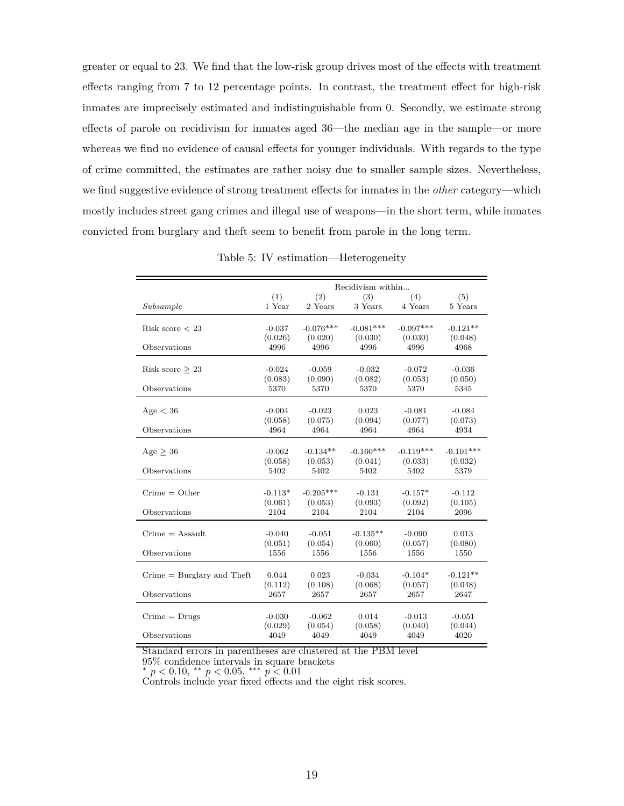greater or equal to 23. We find that the low-risk group drives most of the effects with treatment effects ranging from 7 to 12 percentage points. In contrast, the treatment effect for high-risk inmates are imprecisely estimated and indistinguishable from 0. Secondly, we estimate strong effects of parole on recidivism for inmates aged 36—the median age in the sample—or more whereas we find no evidence of causal effects for younger individuals. With regards to the type of crime committed, the estimates are rather noisy due to smaller sample sizes. Nevertheless, we find suggestive evidence of strong treatment effects for inmates in the *other* category—which mostly includes street gang crimes and illegal use of weapons—in the short term, while inmates convicted from burglary and theft seem to benefit from parole in the long term.

|                               |                      |                        | Recidivism within      |                        |                        |
|-------------------------------|----------------------|------------------------|------------------------|------------------------|------------------------|
| Subsample                     | (1)<br>1 Year        | (2)<br>2 Years         | (3)<br>3 Years         | (4)<br>4 Years         | (5)<br>5 Years         |
| Risk score $< 23$             | $-0.037$<br>(0.026)  | $-0.076***$            | $-0.081***$<br>(0.030) | $-0.097***$<br>(0.030) | $-0.121**$<br>(0.048)  |
| Observations                  | 4996                 | (0.020)<br>4996        | 4996                   | 4996                   | 4968                   |
| Risk score $> 23$             | $-0.024$<br>(0.083)  | $-0.059$<br>(0.090)    | $-0.032$<br>(0.082)    | $-0.072$<br>(0.053)    | $-0.036$<br>(0.050)    |
| Observations                  | 5370                 | 5370                   | 5370                   | 5370                   | 5345                   |
| Age < 36                      | $-0.004$<br>(0.058)  | $-0.023$<br>(0.075)    | 0.023<br>(0.094)       | $-0.081$<br>(0.077)    | $-0.084$<br>(0.073)    |
| Observations                  | 4964                 | 4964                   | 4964                   | 4964                   | 4934                   |
| Age > 36                      | $-0.062$<br>(0.058)  | $-0.134**$<br>(0.053)  | $-0.160***$<br>(0.041) | $-0.119***$<br>(0.033) | $-0.101***$<br>(0.032) |
| Observations                  | 5402                 | 5402                   | 5402                   | 5402                   | 5379                   |
| $C$ rime = Other              | $-0.113*$<br>(0.061) | $-0.205***$<br>(0.053) | $-0.131$<br>(0.093)    | $-0.157*$<br>(0.092)   | $-0.112$<br>(0.105)    |
| Observations                  | 2104                 | 2104                   | 2104                   | 2104                   | 2096                   |
| $C$ rime = Assault            | $-0.040$<br>(0.051)  | $-0.051$<br>(0.054)    | $-0.135**$<br>(0.060)  | $-0.090$<br>(0.057)    | 0.013<br>(0.080)       |
| Observations                  | 1556                 | 1556                   | 1556                   | 1556                   | 1550                   |
| $C$ rime = Burglary and Theft | 0.044<br>(0.112)     | 0.023<br>(0.108)       | $-0.034$<br>(0.068)    | $-0.104*$<br>(0.057)   | $-0.121**$<br>(0.048)  |
| Observations                  | 2657                 | 2657                   | 2657                   | 2657                   | 2647                   |
| $C$ rime = $Drugs$            | $-0.030$<br>(0.029)  | $-0.062$<br>(0.054)    | 0.014<br>(0.058)       | $-0.013$<br>(0.040)    | $-0.051$<br>(0.044)    |
| Observations                  | 4049                 | 4049                   | 4049                   | 4049                   | 4020                   |

Table 5: IV estimation—Heterogeneity

Standard errors in parentheses are clustered at the PBM level

95% confidence intervals in square brackets

*<sup>∗</sup> p <* 0*.*10, *∗∗ p <* 0*.*05, *∗∗∗ p <* 0*.*01

Controls include year fixed effects and the eight risk scores.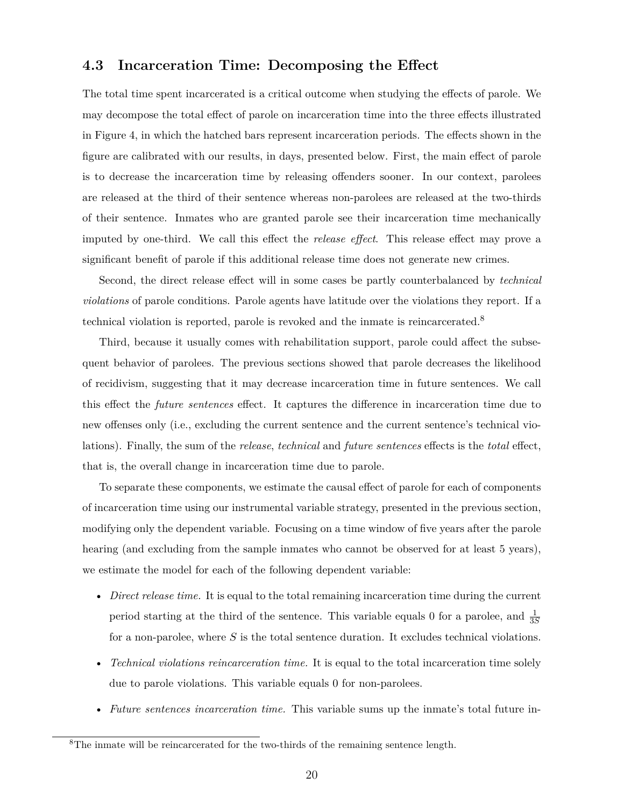### **4.3 Incarceration Time: Decomposing the Effect**

The total time spent incarcerated is a critical outcome when studying the effects of parole. We may decompose the total effect of parole on incarceration time into the three effects illustrated in Figure [4](#page-22-0), in which the hatched bars represent incarceration periods. The effects shown in the figure are calibrated with our results, in days, presented below. First, the main effect of parole is to decrease the incarceration time by releasing offenders sooner. In our context, parolees are released at the third of their sentence whereas non-parolees are released at the two-thirds of their sentence. Inmates who are granted parole see their incarceration time mechanically imputed by one-third. We call this effect the *release effect*. This release effect may prove a significant benefit of parole if this additional release time does not generate new crimes.

Second, the direct release effect will in some cases be partly counterbalanced by *technical violations* of parole conditions. Parole agents have latitude over the violations they report. If a technical violation is reported, parole is revoked and the inmate is reincarcerated.8

Third, because it usually comes with rehabilitation support, parole could affect the subsequent behavior of parolees. The previous sections showed that parole decreases the likelihood of recidivism, suggesting that it may decrease incarceration time in future sentences. We call this effect the *future sentences* effect. It captures the difference in incarceration time due to new offenses only (i.e., excluding the current sentence and the current sentence's technical violations). Finally, the sum of the *release*, *technical* and *future sentences* effects is the *total* effect, that is, the overall change in incarceration time due to parole.

To separate these components, we estimate the causal effect of parole for each of components of incarceration time using our instrumental variable strategy, presented in the previous section, modifying only the dependent variable. Focusing on a time window of five years after the parole hearing (and excluding from the sample inmates who cannot be observed for at least 5 years), we estimate the model for each of the following dependent variable:

- *Direct release time.* It is equal to the total remaining incarceration time during the current period starting at the third of the sentence. This variable equals 0 for a parolee, and  $\frac{1}{3S}$ for a non-parolee, where *S* is the total sentence duration. It excludes technical violations.
- *Technical violations reincarceration time.* It is equal to the total incarceration time solely due to parole violations. This variable equals 0 for non-parolees.
- *Future sentences incarceration time.* This variable sums up the inmate's total future in-

<sup>8</sup>The inmate will be reincarcerated for the two-thirds of the remaining sentence length.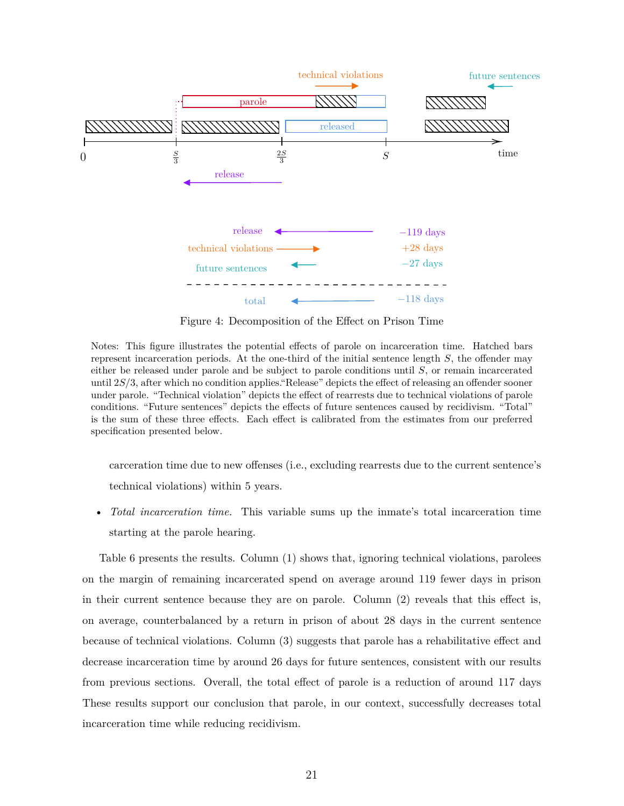<span id="page-22-0"></span>

Figure 4: Decomposition of the Effect on Prison Time

Notes: This figure illustrates the potential effects of parole on incarceration time. Hatched bars represent incarceration periods. At the one-third of the initial sentence length *S*, the offender may either be released under parole and be subject to parole conditions until *S*, or remain incarcerated until 2*S/*3, after which no condition applies."Release" depicts the effect of releasing an offender sooner under parole. "Technical violation" depicts the effect of rearrests due to technical violations of parole conditions. "Future sentences" depicts the effects of future sentences caused by recidivism. "Total" is the sum of these three effects. Each effect is calibrated from the estimates from our preferred specification presented below.

carceration time due to new offenses (i.e., excluding rearrests due to the current sentence's technical violations) within 5 years.

• *Total incarceration time.* This variable sums up the inmate's total incarceration time starting at the parole hearing.

Table [6](#page-23-0) presents the results. Column (1) shows that, ignoring technical violations, parolees on the margin of remaining incarcerated spend on average around 119 fewer days in prison in their current sentence because they are on parole. Column (2) reveals that this effect is, on average, counterbalanced by a return in prison of about 28 days in the current sentence because of technical violations. Column (3) suggests that parole has a rehabilitative effect and decrease incarceration time by around 26 days for future sentences, consistent with our results from previous sections. Overall, the total effect of parole is a reduction of around 117 days These results support our conclusion that parole, in our context, successfully decreases total incarceration time while reducing recidivism.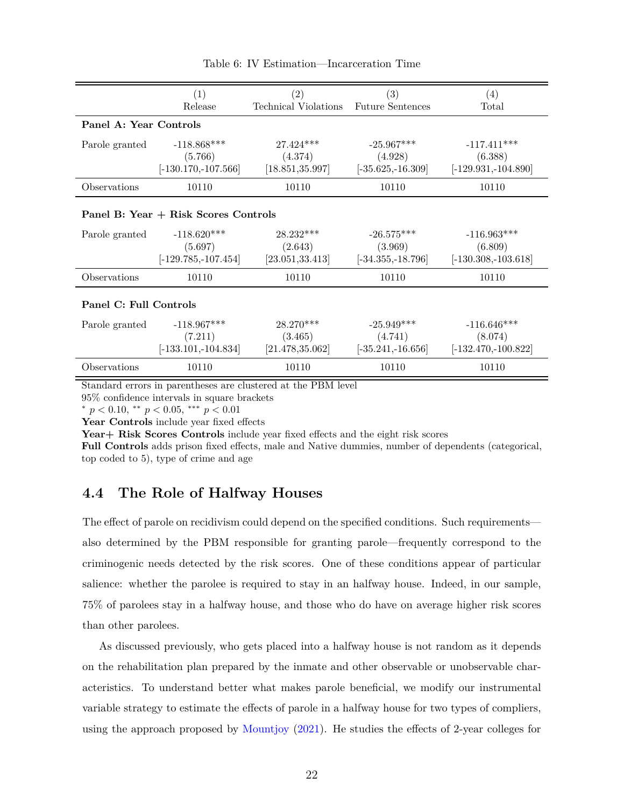<span id="page-23-0"></span>

|                        | (1)                                  | (2)                  | (3)                     | (4)                    |  |  |  |
|------------------------|--------------------------------------|----------------------|-------------------------|------------------------|--|--|--|
|                        | Release                              | Technical Violations | <b>Future Sentences</b> | Total                  |  |  |  |
| Panel A: Year Controls |                                      |                      |                         |                        |  |  |  |
| Parole granted         | $-118.868***$                        | $27.424***$          | $-25.967***$            | $-117.411***$          |  |  |  |
|                        | (5.766)                              | (4.374)              | (4.928)                 | (6.388)                |  |  |  |
|                        | $[-130.170,-107.566]$                | [18.851, 35.997]     | $[-35.625,-16.309]$     | $[-129.931, -104.890]$ |  |  |  |
| Observations           | 10110                                | 10110                | 10110                   | 10110                  |  |  |  |
|                        | Panel B: Year + Risk Scores Controls |                      |                         |                        |  |  |  |
| Parole granted         | $-118.620***$                        | $28.232***$          | $-26.575***$            | $-116.963***$          |  |  |  |
|                        | (5.697)                              | (2.643)              | (3.969)                 | (6.809)                |  |  |  |
|                        | $[-129.785, -107.454]$               | [23.051, 33.413]     | $[-34.355,-18.796]$     | $[-130.308, -103.618]$ |  |  |  |
| Observations           | 10110                                | 10110                | 10110                   | 10110                  |  |  |  |
| Panel C: Full Controls |                                      |                      |                         |                        |  |  |  |
| Parole granted         | $-118.967***$                        | $28.270***$          | $-25.949***$            | $-116.646***$          |  |  |  |
|                        | (7.211)                              | (3.465)              | (4.741)                 | (8.074)                |  |  |  |
|                        | $[-133.101, -104.834]$               | [21.478, 35.062]     | $[-35.241, -16.656]$    | $[-132.470,-100.822]$  |  |  |  |
| Observations           | 10110                                | 10110                | 10110                   | 10110                  |  |  |  |

Table 6: IV Estimation—Incarceration Time

Standard errors in parentheses are clustered at the PBM level

95% confidence intervals in square brackets

*<sup>∗</sup> p <* 0*.*10, *∗∗ p <* 0*.*05, *∗∗∗ p <* 0*.*01

**Year Controls** include year fixed effects

**Year+ Risk Scores Controls** include year fixed effects and the eight risk scores

**Full Controls** adds prison fixed effects, male and Native dummies, number of dependents (categorical, top coded to 5), type of crime and age

### **4.4 The Role of Halfway Houses**

The effect of parole on recidivism could depend on the specified conditions. Such requirements also determined by the PBM responsible for granting parole—frequently correspond to the criminogenic needs detected by the risk scores. One of these conditions appear of particular salience: whether the parolee is required to stay in an halfway house. Indeed, in our sample, 75% of parolees stay in a halfway house, and those who do have on average higher risk scores than other parolees.

As discussed previously, who gets placed into a halfway house is not random as it depends on the rehabilitation plan prepared by the inmate and other observable or unobservable characteristics. To understand better what makes parole beneficial, we modify our instrumental variable strategy to estimate the effects of parole in a halfway house for two types of compliers, using the approach proposed by [Mountjoy](#page-30-6) [\(2021\)](#page-30-6). He studies the effects of 2-year colleges for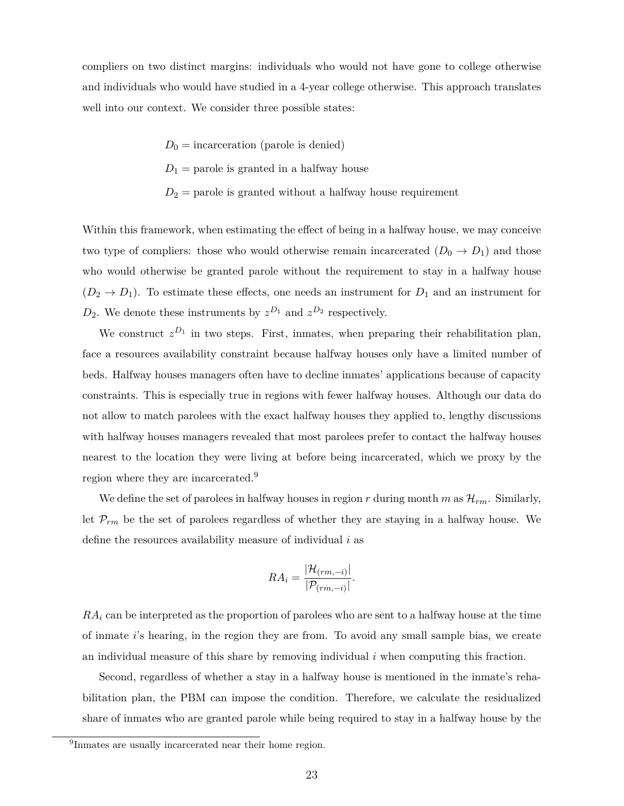compliers on two distinct margins: individuals who would not have gone to college otherwise and individuals who would have studied in a 4-year college otherwise. This approach translates well into our context. We consider three possible states:

- $D_0$  = incarceration (parole is denied)
- $D_1$  = parole is granted in a halfway house
- $D_2$  = parole is granted without a halfway house requirement

Within this framework, when estimating the effect of being in a halfway house, we may conceive two type of compliers: those who would otherwise remain incarcerated  $(D_0 \rightarrow D_1)$  and those who would otherwise be granted parole without the requirement to stay in a halfway house  $(D_2 \rightarrow D_1)$ . To estimate these effects, one needs an instrument for  $D_1$  and an instrument for  $D_2$ . We denote these instruments by  $z^{D_1}$  and  $z^{D_2}$  respectively.

We construct  $z^{D_1}$  in two steps. First, inmates, when preparing their rehabilitation plan, face a resources availability constraint because halfway houses only have a limited number of beds. Halfway houses managers often have to decline inmates' applications because of capacity constraints. This is especially true in regions with fewer halfway houses. Although our data do not allow to match parolees with the exact halfway houses they applied to, lengthy discussions with halfway houses managers revealed that most parolees prefer to contact the halfway houses nearest to the location they were living at before being incarcerated, which we proxy by the region where they are incarcerated.9

We define the set of parolees in halfway houses in region  $r$  during month  $m$  as  $\mathcal{H}_{rm}$ . Similarly, let *Prm* be the set of parolees regardless of whether they are staying in a halfway house. We define the resources availability measure of individual *i* as

$$
RA_i = \frac{|\mathcal{H}_{(rm,-i)}|}{|\mathcal{P}_{(rm,-i)}|}.
$$

*RA<sup>i</sup>* can be interpreted as the proportion of parolees who are sent to a halfway house at the time of inmate *i*'s hearing, in the region they are from. To avoid any small sample bias, we create an individual measure of this share by removing individual *i* when computing this fraction.

Second, regardless of whether a stay in a halfway house is mentioned in the inmate's rehabilitation plan, the PBM can impose the condition. Therefore, we calculate the residualized share of inmates who are granted parole while being required to stay in a halfway house by the

<sup>&</sup>lt;sup>9</sup>Inmates are usually incarcerated near their home region.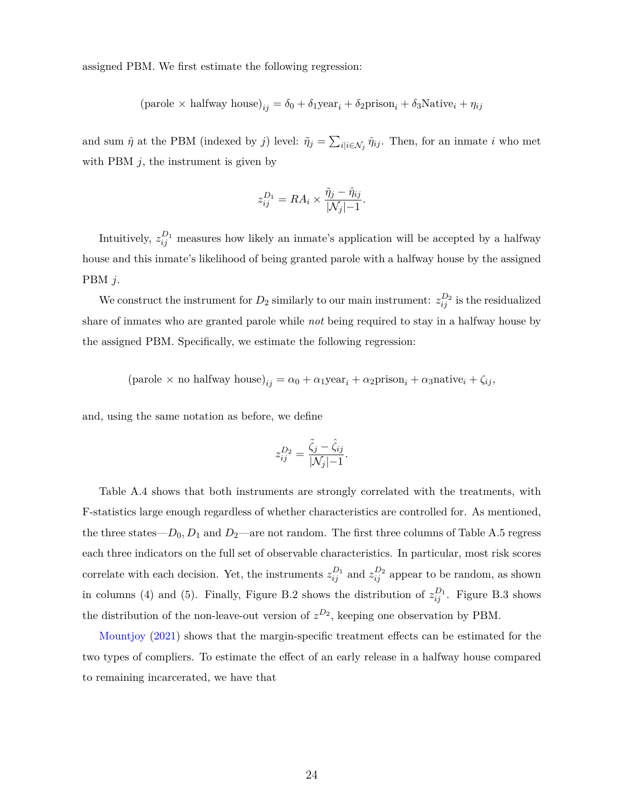assigned PBM. We first estimate the following regression:

$$
(\text{parole} \times \text{halfway house})_{ij} = \delta_0 + \delta_1 \text{year}_i + \delta_2 \text{prison}_i + \delta_3 \text{Native}_i + \eta_{ij}
$$

and sum  $\hat{\eta}$  at the PBM (indexed by *j*) level:  $\tilde{\eta}_j = \sum_{i | i \in \mathcal{N}_j} \hat{\eta}_{ij}$ . Then, for an inmate *i* who met with PBM  $j$ , the instrument is given by

$$
z_{ij}^{D_1} = RA_i \times \frac{\tilde{\eta}_j - \hat{\eta}_{ij}}{|\mathcal{N}_j| - 1}.
$$

Intuitively,  $z_{ij}^{D_1}$  measures how likely an inmate's application will be accepted by a halfway house and this inmate's likelihood of being granted parole with a halfway house by the assigned PBM *j*.

We construct the instrument for  $D_2$  similarly to our main instrument:  $z_{ij}^{D_2}$  is the residualized share of inmates who are granted parole while *not* being required to stay in a halfway house by the assigned PBM. Specifically, we estimate the following regression:

 $(\text{parole} \times \text{no halfway house})_{ij} = \alpha_0 + \alpha_1 \text{year}_i + \alpha_2 \text{prior}_i + \alpha_3 \text{native}_i + \zeta_{ij}$ 

and, using the same notation as before, we define

$$
z_{ij}^{D_2} = \frac{\tilde{\zeta}_j - \hat{\zeta}_{ij}}{|\mathcal{N}_j| - 1}.
$$

Table [A.4](#page-35-0) shows that both instruments are strongly correlated with the treatments, with F-statistics large enough regardless of whether characteristics are controlled for. As mentioned, the three states— $D_0, D_1$  and  $D_2$ —are not random. The first three columns of Table [A.5](#page-36-0) regress each three indicators on the full set of observable characteristics. In particular, most risk scores correlate with each decision. Yet, the instruments  $z_{ij}^{D_1}$  and  $z_{ij}^{D_2}$  appear to be random, as shown in columns (4) and (5). Finally, Figure [B.2](#page-38-0) shows the distribution of  $z_{ij}^{D_1}$ . Figure [B.3](#page-38-1) shows the distribution of the non-leave-out version of  $z^{D_2}$ , keeping one observation by PBM.

[Mountjoy](#page-30-6) [\(2021\)](#page-30-6) shows that the margin-specific treatment effects can be estimated for the two types of compliers. To estimate the effect of an early release in a halfway house compared to remaining incarcerated, we have that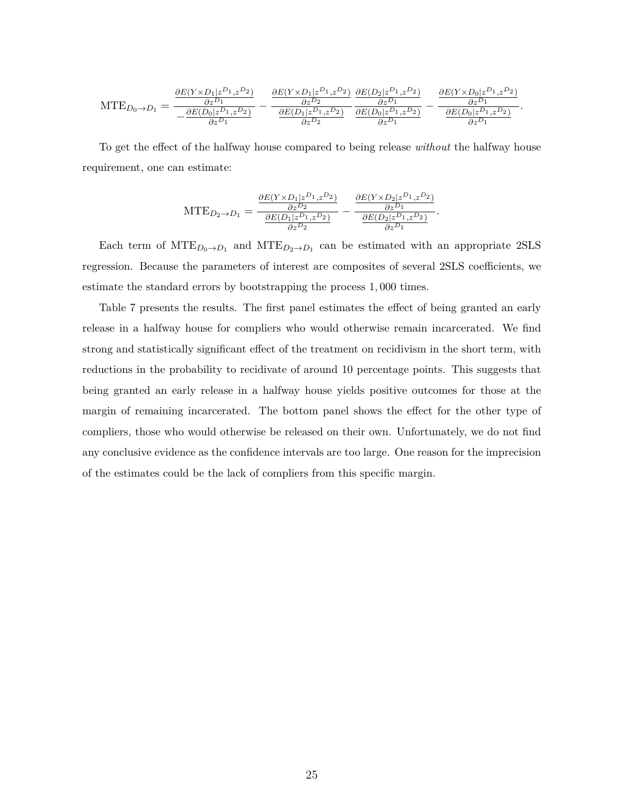$$
\text{MTE}_{D_0 \to D_1} = \frac{\frac{\partial E(Y \times D_1 | z^{D_1}, z^{D_2})}{\partial z^{D_1}}}{-\frac{\partial E(D_0 | z^{D_1}, z^{D_2})}{\partial z^{D_1}}} - \frac{\frac{\partial E(Y \times D_1 | z^{D_1}, z^{D_2})}{\partial z^{D_2}}}{\frac{\partial E(D_1 | z^{D_1}, z^{D_2})}{\partial z^{D_2}}} \frac{\frac{\partial E(D_2 | z^{D_1}, z^{D_2})}{\partial z^{D_1}}}{\frac{\partial E(D_0 | z^{D_1}, z^{D_2})}{\partial z^{D_1}}} - \frac{\frac{\partial E(Y \times D_0 | z^{D_1}, z^{D_2})}{\partial z^{D_1}}}{\frac{\partial E(D_0 | z^{D_1}, z^{D_2})}{\partial z^{D_1}}}.
$$

To get the effect of the halfway house compared to being release *without* the halfway house requirement, one can estimate:

$$
\text{MTE}_{D_2 \to D_1} = \frac{\frac{\partial E(Y \times D_1 | z^{D_1}, z^{D_2})}{\partial z^{D_2}}}{\frac{\partial E(D_1 | z^{D_1}, z^{D_2})}{\partial z^{D_2}}} - \frac{\frac{\partial E(Y \times D_2 | z^{D_1}, z^{D_2})}{\partial z^{D_1}}}{\frac{\partial E(D_2 | z^{D_1}, z^{D_2})}{\partial z^{D_1}}}.
$$

Each term of  $MTE_{D_0 \to D_1}$  and  $MTE_{D_2 \to D_1}$  can be estimated with an appropriate 2SLS regression. Because the parameters of interest are composites of several 2SLS coefficients, we estimate the standard errors by bootstrapping the process 1*,* 000 times.

Table [7](#page-27-1) presents the results. The first panel estimates the effect of being granted an early release in a halfway house for compliers who would otherwise remain incarcerated. We find strong and statistically significant effect of the treatment on recidivism in the short term, with reductions in the probability to recidivate of around 10 percentage points. This suggests that being granted an early release in a halfway house yields positive outcomes for those at the margin of remaining incarcerated. The bottom panel shows the effect for the other type of compliers, those who would otherwise be released on their own. Unfortunately, we do not find any conclusive evidence as the confidence intervals are too large. One reason for the imprecision of the estimates could be the lack of compliers from this specific margin.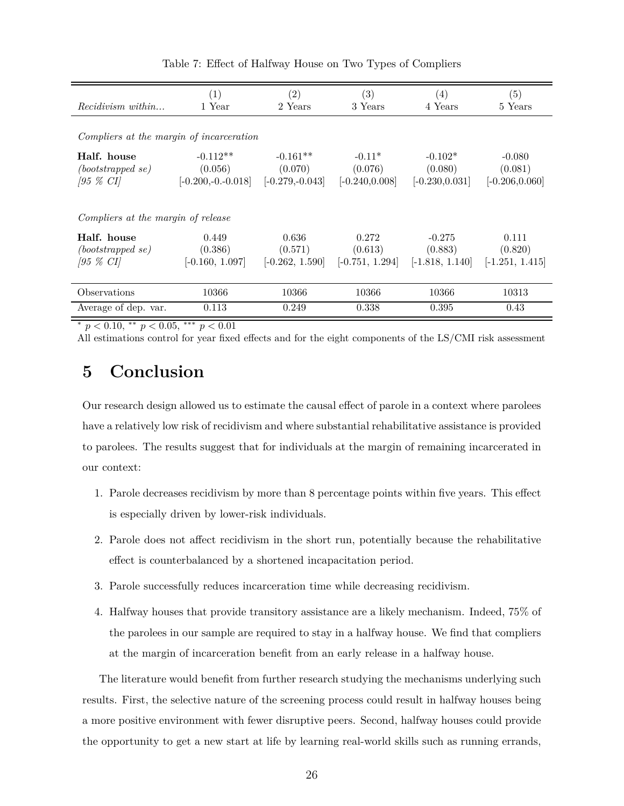<span id="page-27-1"></span>

| <i>Recidivism within</i>                                  | $\left( 1\right)$<br>1 Year                 | $\left( 2\right)$<br>2 Years               | (3)<br>3 Years                           | (4)<br>4 Years                            | (5)<br>5 Years                           |  |  |  |
|-----------------------------------------------------------|---------------------------------------------|--------------------------------------------|------------------------------------------|-------------------------------------------|------------------------------------------|--|--|--|
| Compliers at the margin of incarceration                  |                                             |                                            |                                          |                                           |                                          |  |  |  |
| Half. house<br>$(bootstrapped \; se)$<br>$[95 \; \%\;CI]$ | $-0.112**$<br>(0.056)<br>$[-0.200,-0.0018]$ | $-0.161**$<br>(0.070)<br>$[-0.279,-0.043]$ | $-0.11*$<br>(0.076)<br>$[-0.240, 0.008]$ | $-0.102*$<br>(0.080)<br>$[-0.230, 0.031]$ | $-0.080$<br>(0.081)<br>$[-0.206, 0.060]$ |  |  |  |
| Compliers at the margin of release                        |                                             |                                            |                                          |                                           |                                          |  |  |  |
| Half. house<br>$(bootstrapped \; se)$<br>$[95 \; \%\;CI]$ | 0.449<br>(0.386)<br>$[-0.160, 1.097]$       | 0.636<br>(0.571)<br>$[-0.262, 1.590]$      | 0.272<br>(0.613)<br>$[-0.751, 1.294]$    | $-0.275$<br>(0.883)<br>$[-1.818, 1.140]$  | 0.111<br>(0.820)<br>$[-1.251, 1.415]$    |  |  |  |
| Observations                                              | 10366                                       | 10366                                      | 10366                                    | 10366                                     | 10313                                    |  |  |  |
| Average of dep. var.                                      | 0.113                                       | 0.249                                      | 0.338                                    | 0.395                                     | 0.43                                     |  |  |  |

Table 7: Effect of Halfway House on Two Types of Compliers

*<sup>∗</sup> p <* 0*.*10, *∗∗ p <* 0*.*05, *∗∗∗ p <* 0*.*01

All estimations control for year fixed effects and for the eight components of the LS/CMI risk assessment

# <span id="page-27-0"></span>**5 Conclusion**

Our research design allowed us to estimate the causal effect of parole in a context where parolees have a relatively low risk of recidivism and where substantial rehabilitative assistance is provided to parolees. The results suggest that for individuals at the margin of remaining incarcerated in our context:

- 1. Parole decreases recidivism by more than 8 percentage points within five years. This effect is especially driven by lower-risk individuals.
- 2. Parole does not affect recidivism in the short run, potentially because the rehabilitative effect is counterbalanced by a shortened incapacitation period.
- 3. Parole successfully reduces incarceration time while decreasing recidivism.
- 4. Halfway houses that provide transitory assistance are a likely mechanism. Indeed, 75% of the parolees in our sample are required to stay in a halfway house. We find that compliers at the margin of incarceration benefit from an early release in a halfway house.

The literature would benefit from further research studying the mechanisms underlying such results. First, the selective nature of the screening process could result in halfway houses being a more positive environment with fewer disruptive peers. Second, halfway houses could provide the opportunity to get a new start at life by learning real-world skills such as running errands,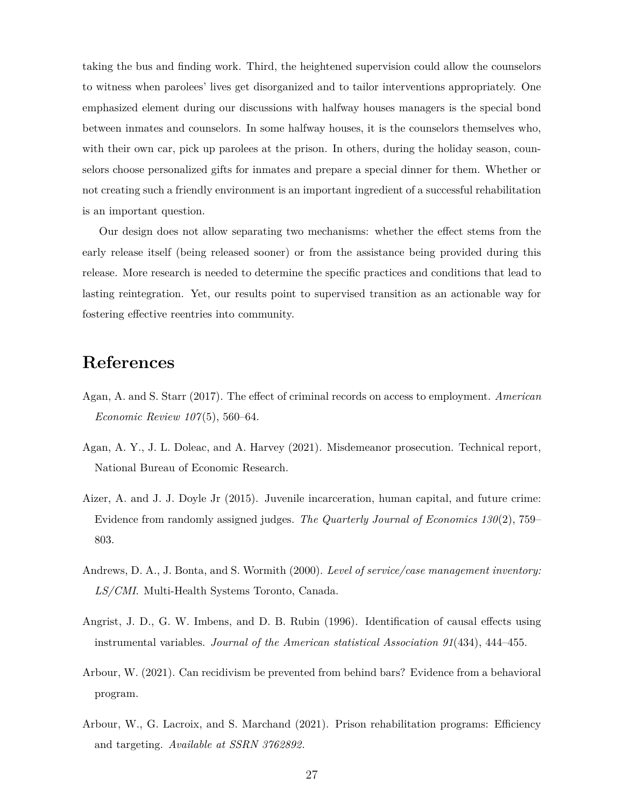taking the bus and finding work. Third, the heightened supervision could allow the counselors to witness when parolees' lives get disorganized and to tailor interventions appropriately. One emphasized element during our discussions with halfway houses managers is the special bond between inmates and counselors. In some halfway houses, it is the counselors themselves who, with their own car, pick up parolees at the prison. In others, during the holiday season, counselors choose personalized gifts for inmates and prepare a special dinner for them. Whether or not creating such a friendly environment is an important ingredient of a successful rehabilitation is an important question.

Our design does not allow separating two mechanisms: whether the effect stems from the early release itself (being released sooner) or from the assistance being provided during this release. More research is needed to determine the specific practices and conditions that lead to lasting reintegration. Yet, our results point to supervised transition as an actionable way for fostering effective reentries into community.

# **References**

- <span id="page-28-4"></span>Agan, A. and S. Starr (2017). The effect of criminal records on access to employment. *American Economic Review 107*(5), 560–64.
- <span id="page-28-3"></span>Agan, A. Y., J. L. Doleac, and A. Harvey (2021). Misdemeanor prosecution. Technical report, National Bureau of Economic Research.
- <span id="page-28-2"></span>Aizer, A. and J. J. Doyle Jr (2015). Juvenile incarceration, human capital, and future crime: Evidence from randomly assigned judges. *The Quarterly Journal of Economics 130*(2), 759– 803.
- <span id="page-28-5"></span>Andrews, D. A., J. Bonta, and S. Wormith (2000). *Level of service/case management inventory: LS/CMI*. Multi-Health Systems Toronto, Canada.
- <span id="page-28-6"></span>Angrist, J. D., G. W. Imbens, and D. B. Rubin (1996). Identification of causal effects using instrumental variables. *Journal of the American statistical Association 91*(434), 444–455.
- <span id="page-28-0"></span>Arbour, W. (2021). Can recidivism be prevented from behind bars? Evidence from a behavioral program.
- <span id="page-28-1"></span>Arbour, W., G. Lacroix, and S. Marchand (2021). Prison rehabilitation programs: Efficiency and targeting. *Available at SSRN 3762892*.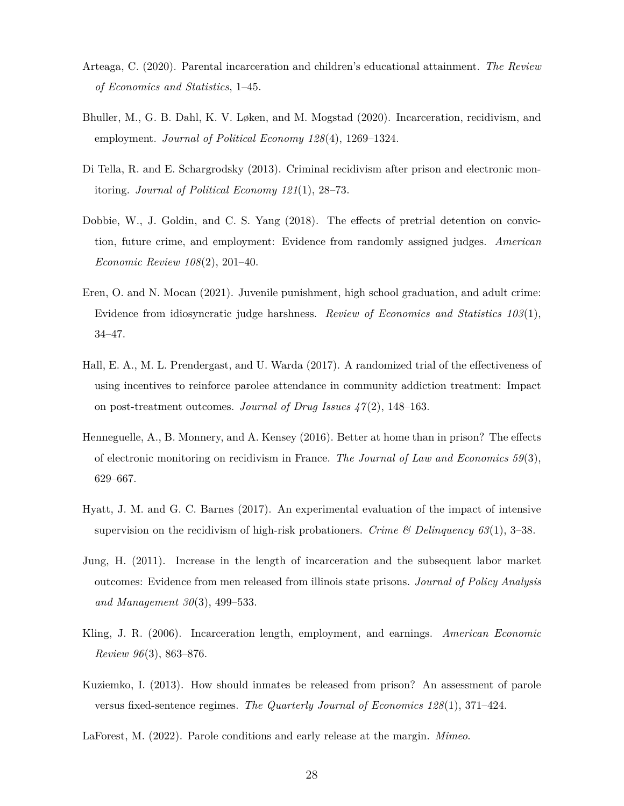- <span id="page-29-4"></span>Arteaga, C. (2020). Parental incarceration and children's educational attainment. *The Review of Economics and Statistics*, 1–45.
- <span id="page-29-3"></span>Bhuller, M., G. B. Dahl, K. V. Løken, and M. Mogstad (2020). Incarceration, recidivism, and employment. *Journal of Political Economy 128*(4), 1269–1324.
- <span id="page-29-9"></span>Di Tella, R. and E. Schargrodsky (2013). Criminal recidivism after prison and electronic monitoring. *Journal of Political Economy 121*(1), 28–73.
- <span id="page-29-2"></span>Dobbie, W., J. Goldin, and C. S. Yang (2018). The effects of pretrial detention on conviction, future crime, and employment: Evidence from randomly assigned judges. *American Economic Review 108*(2), 201–40.
- <span id="page-29-5"></span>Eren, O. and N. Mocan (2021). Juvenile punishment, high school graduation, and adult crime: Evidence from idiosyncratic judge harshness. *Review of Economics and Statistics 103*(1), 34–47.
- <span id="page-29-11"></span>Hall, E. A., M. L. Prendergast, and U. Warda (2017). A randomized trial of the effectiveness of using incentives to reinforce parolee attendance in community addiction treatment: Impact on post-treatment outcomes. *Journal of Drug Issues 47*(2), 148–163.
- <span id="page-29-8"></span>Henneguelle, A., B. Monnery, and A. Kensey (2016). Better at home than in prison? The effects of electronic monitoring on recidivism in France. *The Journal of Law and Economics 59*(3), 629–667.
- <span id="page-29-10"></span>Hyatt, J. M. and G. C. Barnes (2017). An experimental evaluation of the impact of intensive supervision on the recidivism of high-risk probationers. *Crime & Delinquency 63*(1), 3–38.
- <span id="page-29-7"></span>Jung, H. (2011). Increase in the length of incarceration and the subsequent labor market outcomes: Evidence from men released from illinois state prisons. *Journal of Policy Analysis and Management 30*(3), 499–533.
- <span id="page-29-1"></span>Kling, J. R. (2006). Incarceration length, employment, and earnings. *American Economic Review 96*(3), 863–876.
- <span id="page-29-0"></span>Kuziemko, I. (2013). How should inmates be released from prison? An assessment of parole versus fixed-sentence regimes. *The Quarterly Journal of Economics 128*(1), 371–424.
- <span id="page-29-6"></span>LaForest, M. (2022). Parole conditions and early release at the margin. *Mimeo*.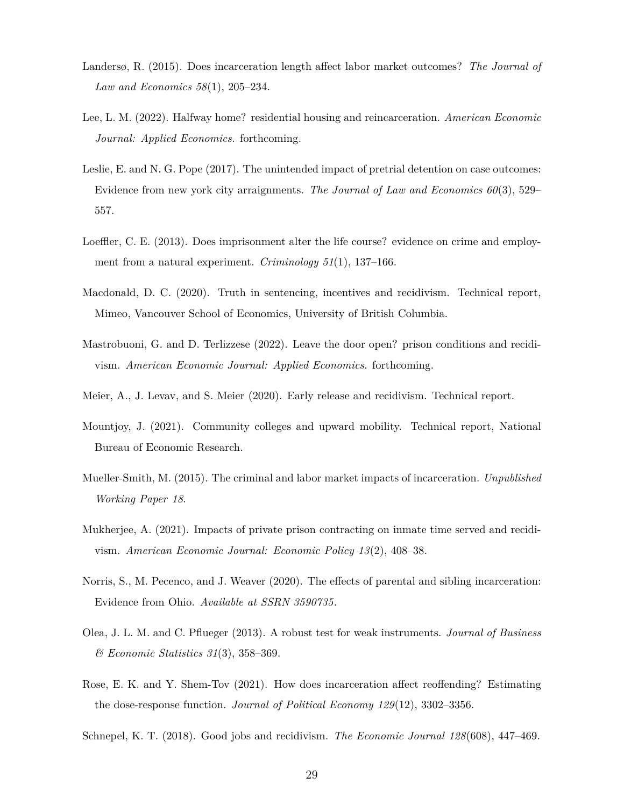- <span id="page-30-7"></span>Landersø, R. (2015). Does incarceration length affect labor market outcomes? *The Journal of Law and Economics 58*(1), 205–234.
- <span id="page-30-10"></span>Lee, L. M. (2022). Halfway home? residential housing and reincarceration. *American Economic Journal: Applied Economics*. forthcoming.
- <span id="page-30-4"></span>Leslie, E. and N. G. Pope (2017). The unintended impact of pretrial detention on case outcomes: Evidence from new york city arraignments. *The Journal of Law and Economics 60*(3), 529– 557.
- <span id="page-30-2"></span>Loeffler, C. E. (2013). Does imprisonment alter the life course? evidence on crime and employment from a natural experiment. *Criminology 51*(1), 137–166.
- <span id="page-30-0"></span>Macdonald, D. C. (2020). Truth in sentencing, incentives and recidivism. Technical report, Mimeo, Vancouver School of Economics, University of British Columbia.
- <span id="page-30-12"></span>Mastrobuoni, G. and D. Terlizzese (2022). Leave the door open? prison conditions and recidivism. *American Economic Journal: Applied Economics*. forthcoming.
- <span id="page-30-1"></span>Meier, A., J. Levav, and S. Meier (2020). Early release and recidivism. Technical report.
- <span id="page-30-6"></span>Mountjoy, J. (2021). Community colleges and upward mobility. Technical report, National Bureau of Economic Research.
- <span id="page-30-3"></span>Mueller-Smith, M. (2015). The criminal and labor market impacts of incarceration. *Unpublished Working Paper 18*.
- <span id="page-30-8"></span>Mukherjee, A. (2021). Impacts of private prison contracting on inmate time served and recidivism. *American Economic Journal: Economic Policy 13*(2), 408–38.
- <span id="page-30-5"></span>Norris, S., M. Pecenco, and J. Weaver (2020). The effects of parental and sibling incarceration: Evidence from Ohio. *Available at SSRN 3590735*.
- <span id="page-30-13"></span>Olea, J. L. M. and C. Pflueger (2013). A robust test for weak instruments. *Journal of Business & Economic Statistics 31*(3), 358–369.
- <span id="page-30-9"></span>Rose, E. K. and Y. Shem-Tov (2021). How does incarceration affect reoffending? Estimating the dose-response function. *Journal of Political Economy 129*(12), 3302–3356.
- <span id="page-30-11"></span>Schnepel, K. T. (2018). Good jobs and recidivism. *The Economic Journal 128*(608), 447–469.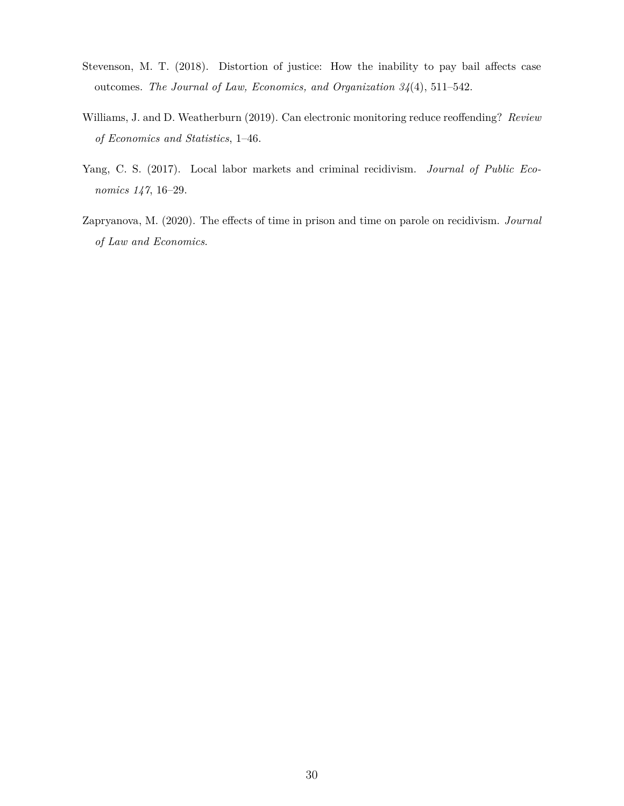- <span id="page-31-0"></span>Stevenson, M. T. (2018). Distortion of justice: How the inability to pay bail affects case outcomes. *The Journal of Law, Economics, and Organization 34*(4), 511–542.
- <span id="page-31-2"></span>Williams, J. and D. Weatherburn (2019). Can electronic monitoring reduce reoffending? *Review of Economics and Statistics*, 1–46.
- <span id="page-31-3"></span>Yang, C. S. (2017). Local labor markets and criminal recidivism. *Journal of Public Economics 147*, 16–29.
- <span id="page-31-1"></span>Zapryanova, M. (2020). The effects of time in prison and time on parole on recidivism. *Journal of Law and Economics*.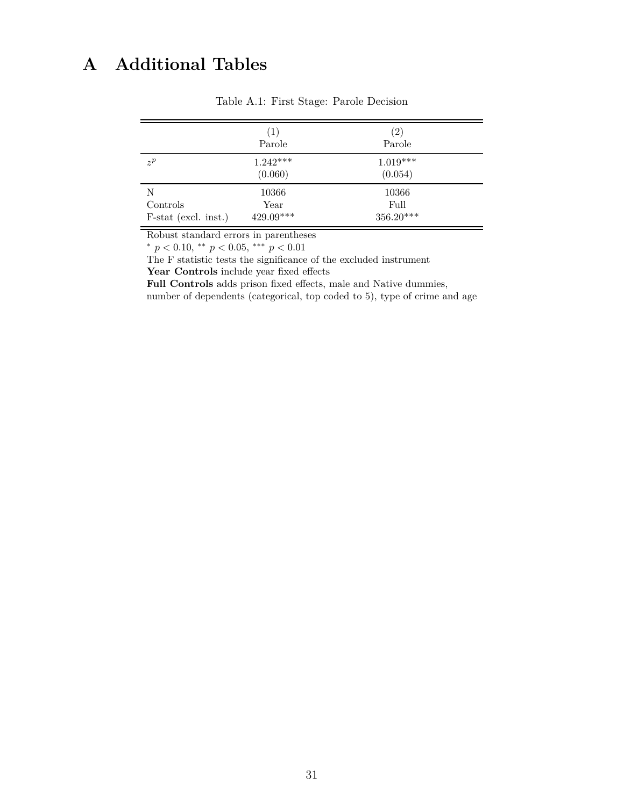# <span id="page-32-0"></span>**A Additional Tables**

|                                          | (1)<br>Parole                | $\left( 2\right)$<br>Parole  |
|------------------------------------------|------------------------------|------------------------------|
| $z^p$                                    | $1.242***$<br>(0.060)        | $1.019***$<br>(0.054)        |
| N<br>Controls<br>$F$ -stat (excl. inst.) | 10366<br>Year<br>$429.09***$ | 10366<br>Full<br>$356.20***$ |

Table A.1: First Stage: Parole Decision

Robust standard errors in parentheses

*<sup>∗</sup> p <* 0*.*10, *∗∗ p <* 0*.*05, *∗∗∗ p <* 0*.*01

The F statistic tests the significance of the excluded instrument

**Year Controls** include year fixed effects

Full Controls adds prison fixed effects, male and Native dummies, number of dependents (categorical, top coded to 5), type of crime and age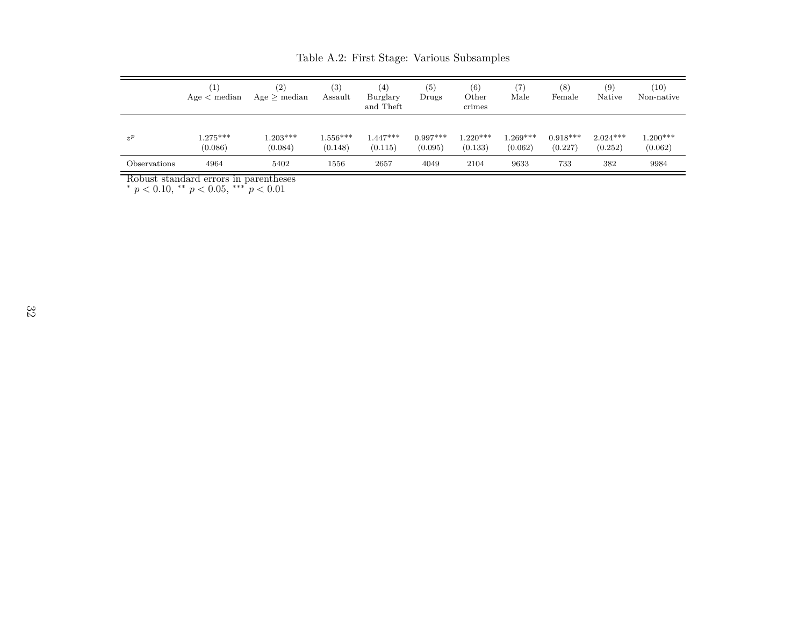|              | $\left(1\right)$<br>Age < median | (2)<br>Age > median   | (3)<br>Assault        | $\left( 4\right)$<br>Burglary<br>and Theft | (5)<br>Drugs          | (6)<br>Other<br>crimes | (7)<br>Male           | (8)<br>Female         | (9)<br>Native         | (10)<br>Non-native    |
|--------------|----------------------------------|-----------------------|-----------------------|--------------------------------------------|-----------------------|------------------------|-----------------------|-----------------------|-----------------------|-----------------------|
| $z^p$        | $1.275***$<br>(0.086)            | $1.203***$<br>(0.084) | $1.556***$<br>(0.148) | $.447***$<br>(0.115)                       | $0.997***$<br>(0.095) | $1.220***$<br>(0.133)  | $1.269***$<br>(0.062) | $0.918***$<br>(0.227) | $2.024***$<br>(0.252) | $1.200***$<br>(0.062) |
| Observations | 4964                             | 5402                  | 1556                  | 2657                                       | 4049                  | 2104                   | 9633                  | 733                   | 382                   | 9984                  |

Table A.2: First Stage: Various Subsamples

<span id="page-33-0"></span>

Robust standard errors in parentheses *∗ p <* <sup>0</sup>*.*10, *∗∗ <sup>p</sup> <sup>&</sup>lt;* <sup>0</sup>*.*05, *∗∗∗ <sup>p</sup> <sup>&</sup>lt;* <sup>0</sup>*.*<sup>01</sup>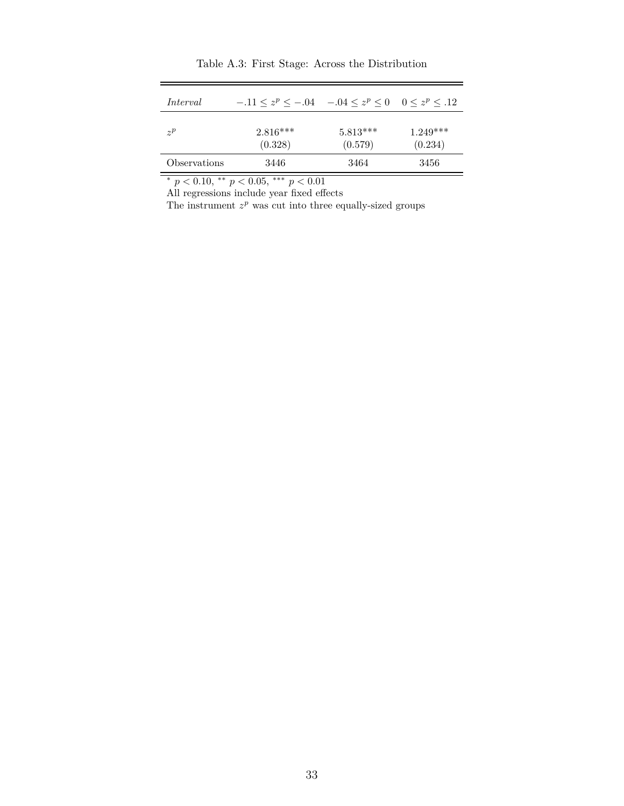<span id="page-34-0"></span>

| Interval     | $-11 \le z^p \le -0.04$ $-0.04 \le z^p \le 0$ $0 \le z^p \le 0.12$ |                       |                       |
|--------------|--------------------------------------------------------------------|-----------------------|-----------------------|
| $\gamma P$   | $2.816***$<br>(0.328)                                              | $5.813***$<br>(0.579) | $1.249***$<br>(0.234) |
| Observations | 3446                                                               | 3464                  | 3456                  |

Table A.3: First Stage: Across the Distribution

*<sup>∗</sup> p <* 0*.*10, *∗∗ p <* 0*.*05, *∗∗∗ p <* 0*.*01

All regressions include year fixed effects

The instrument  $z^p$  was cut into three equally-sized groups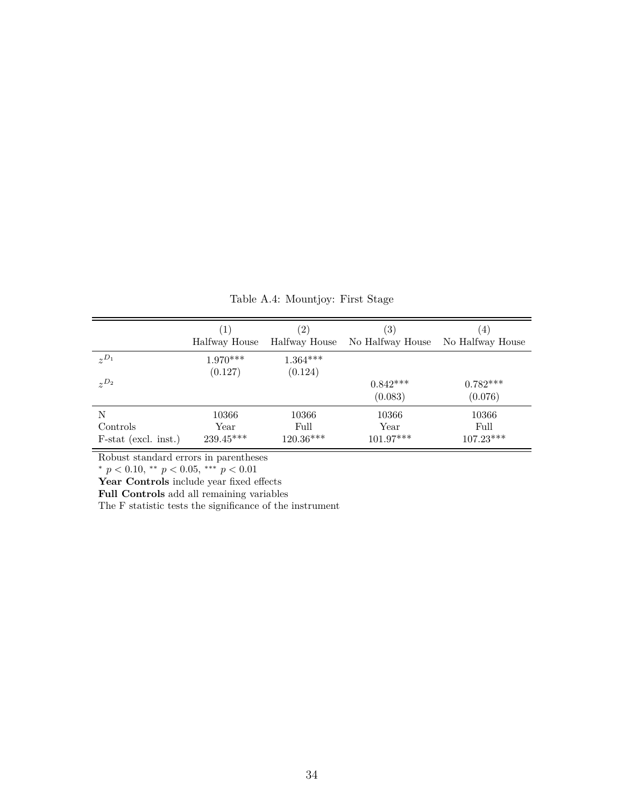<span id="page-35-0"></span>

|                        | (1)                   | $\left( 2\right)$     | $\left( 3\right)$     | (4)                   |
|------------------------|-----------------------|-----------------------|-----------------------|-----------------------|
|                        | Halfway House         | Halfway House         | No Halfway House      | No Halfway House      |
| $z^{D_1}$              | $1.970***$<br>(0.127) | $1.364***$<br>(0.124) |                       |                       |
| $z^{D_2}$              |                       |                       | $0.842***$<br>(0.083) | $0.782***$<br>(0.076) |
| N                      | 10366                 | 10366                 | 10366                 | 10366                 |
| Controls               | Year                  | Full                  | Year                  | Full                  |
| $F-stat$ (excl. inst.) | 239.45***             | 120.36***             | $101.97***$           | $107.23***$           |

Table A.4: Mountjoy: First Stage

Robust standard errors in parentheses

*<sup>∗</sup> p <* 0*.*10, *∗∗ p <* 0*.*05, *∗∗∗ p <* 0*.*01

Year Controls include year fixed effects

**Full Controls** add all remaining variables

The F statistic tests the significance of the instrument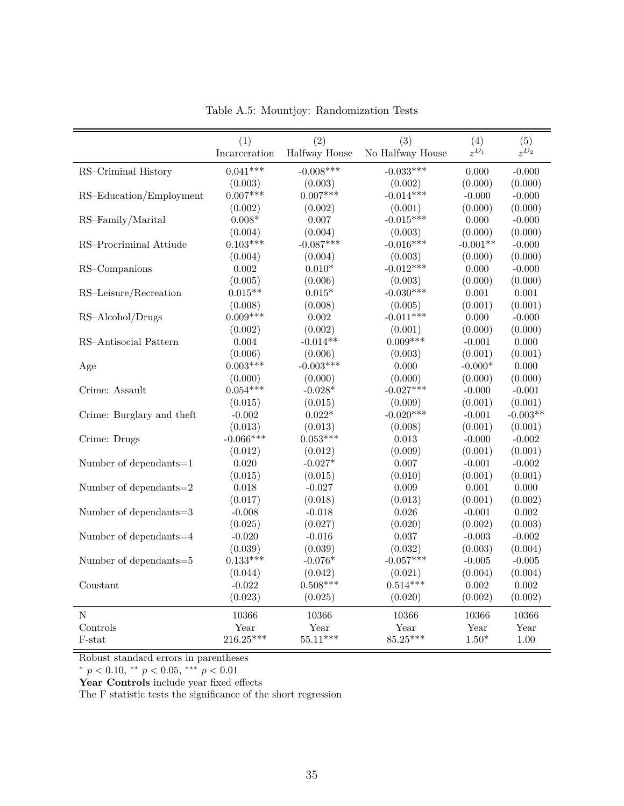<span id="page-36-0"></span>

|                           | (1)           | (2)           | (3)              | (4)        | (5)        |
|---------------------------|---------------|---------------|------------------|------------|------------|
|                           | Incarceration | Halfway House | No Halfway House | $z^{D_1}$  | $z^{D_2}$  |
| RS-Criminal History       | $0.041***$    | $-0.008***$   | $-0.033***$      | 0.000      | $-0.000$   |
|                           | (0.003)       | (0.003)       | (0.002)          | (0.000)    | (0.000)    |
| RS-Education/Employment   | $0.007***$    | $0.007***$    | $-0.014***$      | $-0.000$   | $-0.000$   |
|                           | (0.002)       | (0.002)       | (0.001)          | (0.000)    | (0.000)    |
| RS-Family/Marital         | $0.008*$      | 0.007         | $-0.015***$      | 0.000      | $-0.000$   |
|                           | (0.004)       | (0.004)       | (0.003)          | (0.000)    | (0.000)    |
| RS-Procriminal Attiude    | $0.103***$    | $-0.087***$   | $-0.016***$      | $-0.001**$ | $-0.000$   |
|                           | (0.004)       | (0.004)       | (0.003)          | (0.000)    | (0.000)    |
| RS-Companions             | 0.002         | $0.010*$      | $-0.012***$      | 0.000      | $-0.000$   |
|                           | (0.005)       | (0.006)       | (0.003)          | (0.000)    | (0.000)    |
| RS-Leisure/Recreation     | $0.015**$     | $0.015*$      | $-0.030***$      | 0.001      | 0.001      |
|                           | (0.008)       | (0.008)       | (0.005)          | (0.001)    | (0.001)    |
| RS-Alcohol/Drugs          | $0.009***$    | 0.002         | $-0.011***$      | 0.000      | $-0.000$   |
|                           | (0.002)       | (0.002)       | (0.001)          | (0.000)    | (0.000)    |
| RS-Antisocial Pattern     | 0.004         | $-0.014**$    | $0.009***$       | $-0.001$   | $0.000\,$  |
|                           | (0.006)       | (0.006)       | (0.003)          | (0.001)    | (0.001)    |
| Age                       | $0.003***$    | $-0.003***$   | 0.000            | $-0.000*$  | $0.000\,$  |
|                           | (0.000)       | (0.000)       | (0.000)          | (0.000)    | (0.000)    |
| Crime: Assault            | $0.054***$    | $-0.028*$     | $-0.027***$      | $-0.000$   | $-0.001$   |
|                           | (0.015)       | (0.015)       | (0.009)          | (0.001)    | (0.001)    |
| Crime: Burglary and theft | $-0.002$      | $0.022*$      | $-0.020***$      | $-0.001$   | $-0.003**$ |
|                           | (0.013)       | (0.013)       | (0.008)          | (0.001)    | (0.001)    |
| Crime: Drugs              | $-0.066***$   | $0.053***$    | $\,0.013\,$      | $-0.000$   | $-0.002$   |
|                           | (0.012)       | (0.012)       | (0.009)          | (0.001)    | (0.001)    |
| Number of dependants=1    | 0.020         | $-0.027*$     | $0.007\,$        | $-0.001$   | $-0.002$   |
|                           | (0.015)       | (0.015)       | (0.010)          | (0.001)    | (0.001)    |
| Number of dependants=2    | 0.018         | $-0.027$      | 0.009            | 0.001      | 0.000      |
|                           | (0.017)       | (0.018)       | (0.013)          | (0.001)    | (0.002)    |
| Number of dependants=3    | $-0.008$      | $-0.018$      | 0.026            | $-0.001$   | 0.002      |
|                           | (0.025)       | (0.027)       | (0.020)          | (0.002)    | (0.003)    |
| Number of dependants=4    | $-0.020$      | $-0.016$      | 0.037            | $-0.003$   | $-0.002$   |
|                           | (0.039)       | (0.039)       | (0.032)          | (0.003)    | (0.004)    |
| Number of dependants=5    | $0.133***$    | $-0.076*$     | $-0.057***$      | $-0.005$   | $-0.005$   |
|                           | (0.044)       | (0.042)       | (0.021)          | (0.004)    | (0.004)    |
| Constant                  | $-0.022$      | $0.508***$    | $0.514***$       | 0.002      | 0.002      |
|                           | (0.023)       | (0.025)       | (0.020)          | (0.002)    | (0.002)    |
| $\mathbf N$               | 10366         | 10366         | 10366            | 10366      | 10366      |
| Controls                  | Year          | Year          | Year             | Year       | Year       |
| F-stat                    | $216.25***$   | $55.11***$    | 85.25***         | $1.50*$    | 1.00       |

Table A.5: Mountjoy: Randomization Tests

Robust standard errors in parentheses

*<sup>∗</sup> p <* 0*.*10, *∗∗ p <* 0*.*05, *∗∗∗ p <* 0*.*01

Year Controls include year fixed effects

The F statistic tests the significance of the short regression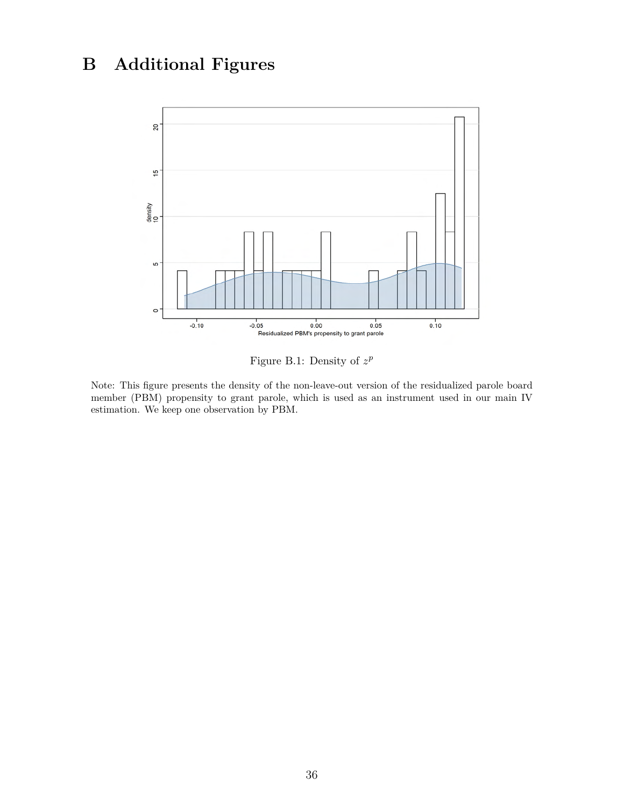# <span id="page-37-0"></span>**B Additional Figures**



Figure B.1: Density of  $z^p$ 

Note: This figure presents the density of the non-leave-out version of the residualized parole board member (PBM) propensity to grant parole, which is used as an instrument used in our main IV estimation. We keep one observation by PBM.